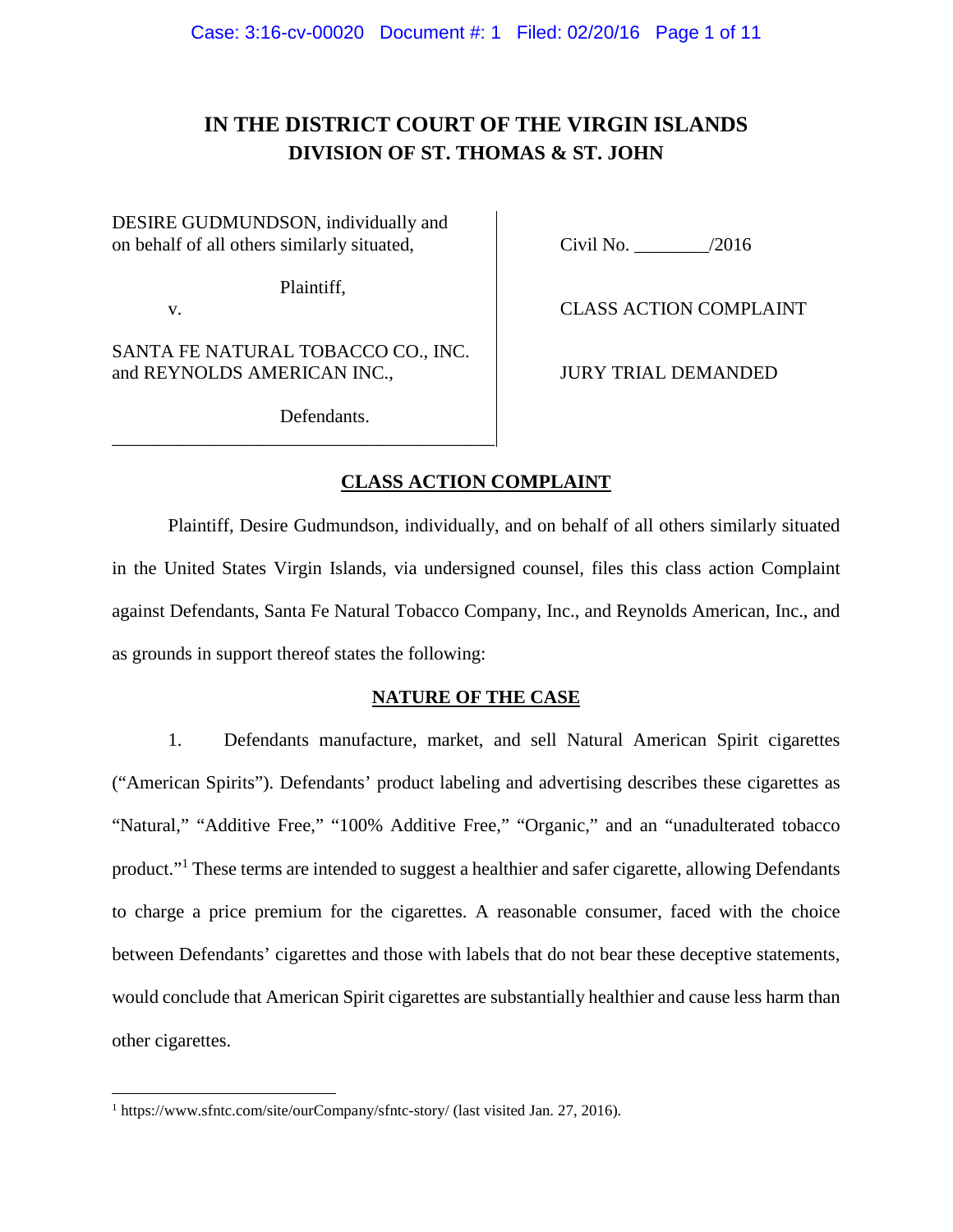# **IN THE DISTRICT COURT OF THE VIRGIN ISLANDS DIVISION OF ST. THOMAS & ST. JOHN**

DESIRE GUDMUNDSON, individually and on behalf of all others similarly situated, Civil No. 2016

Plaintiff,

SANTA FE NATURAL TOBACCO CO., INC. and REYNOLDS AMERICAN INC.,  $|$  JURY TRIAL DEMANDED

\_\_\_\_\_\_\_\_\_\_\_\_\_\_\_\_\_\_\_\_\_\_\_\_\_\_\_\_\_\_\_\_\_\_\_\_\_\_\_\_\_

v. CLASS ACTION COMPLAINT

Defendants.

### **CLASS ACTION COMPLAINT**

Plaintiff, Desire Gudmundson, individually, and on behalf of all others similarly situated in the United States Virgin Islands, via undersigned counsel, files this class action Complaint against Defendants, Santa Fe Natural Tobacco Company, Inc., and Reynolds American, Inc., and as grounds in support thereof states the following:

### **NATURE OF THE CASE**

1. Defendants manufacture, market, and sell Natural American Spirit cigarettes ("American Spirits"). Defendants' product labeling and advertising describes these cigarettes as "Natural," "Additive Free," "100% Additive Free," "Organic," and an "unadulterated tobacco product."<sup>1</sup> These terms are intended to suggest a healthier and safer cigarette, allowing Defendants to charge a price premium for the cigarettes. A reasonable consumer, faced with the choice between Defendants' cigarettes and those with labels that do not bear these deceptive statements, would conclude that American Spirit cigarettes are substantially healthier and cause less harm than other cigarettes.

<sup>1</sup> https://www.sfntc.com/site/ourCompany/sfntc-story/ (last visited Jan. 27, 2016).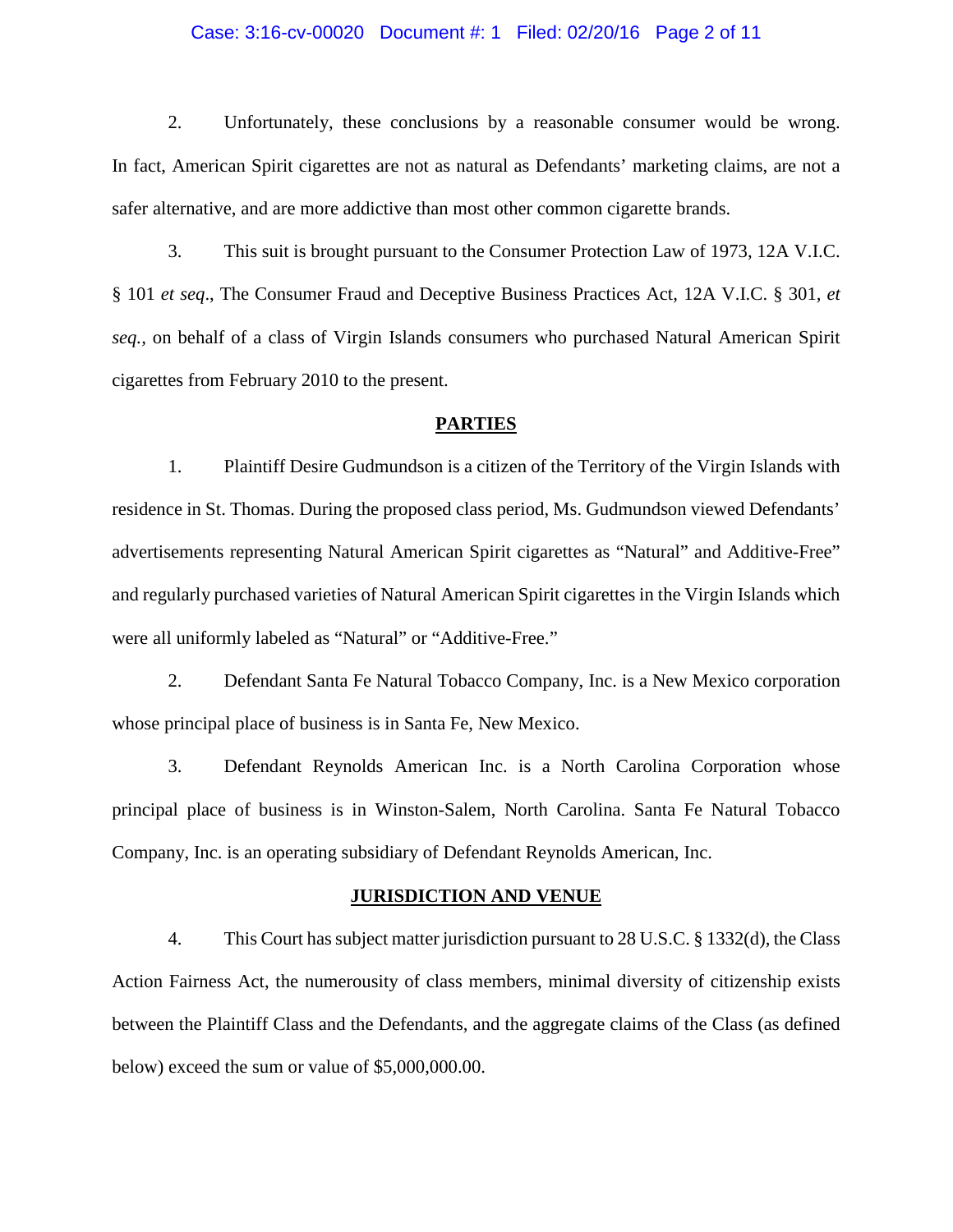#### Case: 3:16-cv-00020 Document #: 1 Filed: 02/20/16 Page 2 of 11

2. Unfortunately, these conclusions by a reasonable consumer would be wrong. In fact, American Spirit cigarettes are not as natural as Defendants' marketing claims, are not a safer alternative, and are more addictive than most other common cigarette brands.

3. This suit is brought pursuant to the Consumer Protection Law of 1973, 12A V.I.C. § 101 *et seq*., The Consumer Fraud and Deceptive Business Practices Act, 12A V.I.C. § 301*, et seq.,* on behalf of a class of Virgin Islands consumers who purchased Natural American Spirit cigarettes from February 2010 to the present.

#### **PARTIES**

1. Plaintiff Desire Gudmundson is a citizen of the Territory of the Virgin Islands with residence in St. Thomas. During the proposed class period, Ms. Gudmundson viewed Defendants' advertisements representing Natural American Spirit cigarettes as "Natural" and Additive-Free" and regularly purchased varieties of Natural American Spirit cigarettes in the Virgin Islands which were all uniformly labeled as "Natural" or "Additive-Free."

2. Defendant Santa Fe Natural Tobacco Company, Inc. is a New Mexico corporation whose principal place of business is in Santa Fe, New Mexico.

3. Defendant Reynolds American Inc. is a North Carolina Corporation whose principal place of business is in Winston-Salem, North Carolina. Santa Fe Natural Tobacco Company, Inc. is an operating subsidiary of Defendant Reynolds American, Inc.

#### **JURISDICTION AND VENUE**

4. This Court has subject matter jurisdiction pursuant to 28 U.S.C. § 1332(d), the Class Action Fairness Act, the numerousity of class members, minimal diversity of citizenship exists between the Plaintiff Class and the Defendants, and the aggregate claims of the Class (as defined below) exceed the sum or value of \$5,000,000.00.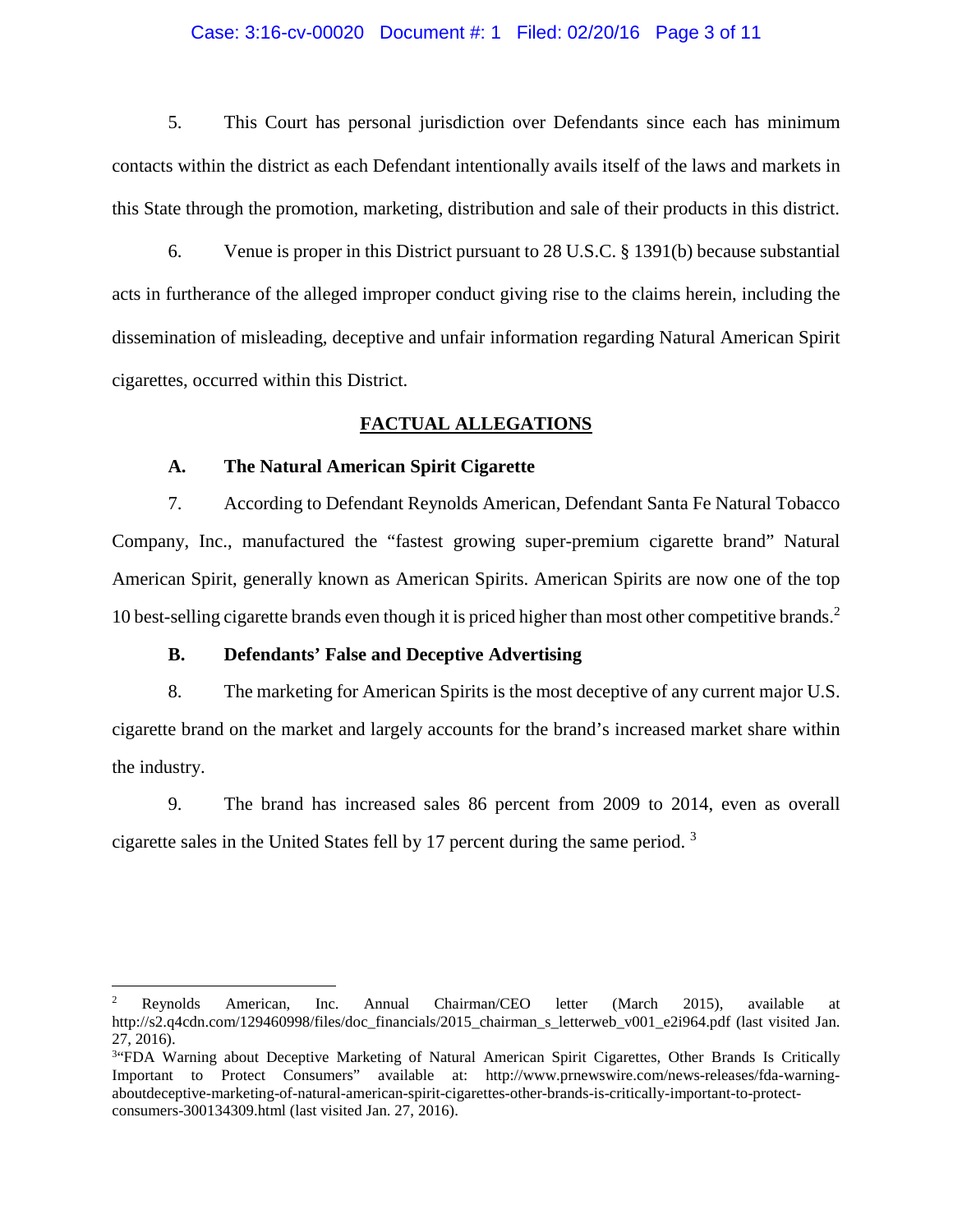#### Case: 3:16-cv-00020 Document #: 1 Filed: 02/20/16 Page 3 of 11

5. This Court has personal jurisdiction over Defendants since each has minimum contacts within the district as each Defendant intentionally avails itself of the laws and markets in this State through the promotion, marketing, distribution and sale of their products in this district.

6. Venue is proper in this District pursuant to 28 U.S.C. § 1391(b) because substantial acts in furtherance of the alleged improper conduct giving rise to the claims herein, including the dissemination of misleading, deceptive and unfair information regarding Natural American Spirit cigarettes, occurred within this District.

#### **FACTUAL ALLEGATIONS**

#### **A. The Natural American Spirit Cigarette**

7. According to Defendant Reynolds American, Defendant Santa Fe Natural Tobacco Company, Inc., manufactured the "fastest growing super-premium cigarette brand" Natural American Spirit, generally known as American Spirits. American Spirits are now one of the top 10 best-selling cigarette brands even though it is priced higher than most other competitive brands.<sup>2</sup>

#### **B. Defendants' False and Deceptive Advertising**

8. The marketing for American Spirits is the most deceptive of any current major U.S. cigarette brand on the market and largely accounts for the brand's increased market share within the industry.

9. The brand has increased sales 86 percent from 2009 to 2014, even as overall cigarette sales in the United States fell by 17 percent during the same period. <sup>3</sup>

<sup>2</sup> Reynolds American, Inc. Annual Chairman/CEO letter (March 2015), available at http://s2.q4cdn.com/129460998/files/doc\_financials/2015\_chairman\_s\_letterweb\_v001\_e2i964.pdf (last visited Jan. 27, 2016).

<sup>&</sup>lt;sup>3</sup> FDA Warning about Deceptive Marketing of Natural American Spirit Cigarettes, Other Brands Is Critically Important to Protect Consumers" available at: http://www.prnewswire.com/news-releases/fda-warningaboutdeceptive-marketing-of-natural-american-spirit-cigarettes-other-brands-is-critically-important-to-protectconsumers-300134309.html (last visited Jan. 27, 2016).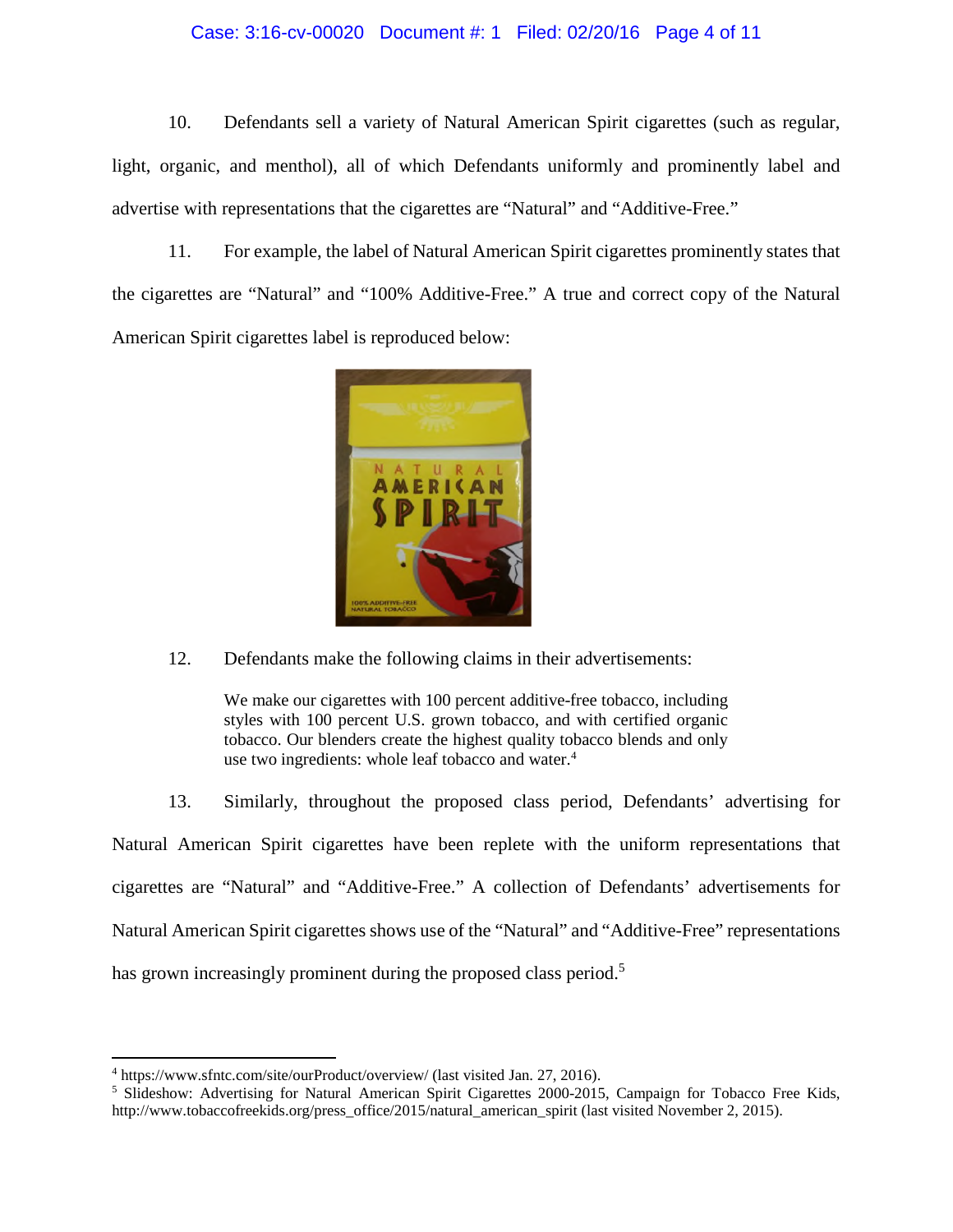#### Case: 3:16-cv-00020 Document #: 1 Filed: 02/20/16 Page 4 of 11

10. Defendants sell a variety of Natural American Spirit cigarettes (such as regular, light, organic, and menthol), all of which Defendants uniformly and prominently label and advertise with representations that the cigarettes are "Natural" and "Additive-Free."

11. For example, the label of Natural American Spirit cigarettes prominently states that the cigarettes are "Natural" and "100% Additive-Free." A true and correct copy of the Natural American Spirit cigarettes label is reproduced below:



12. Defendants make the following claims in their advertisements:

We make our cigarettes with 100 percent additive-free tobacco, including styles with 100 percent U.S. grown tobacco, and with certified organic tobacco. Our blenders create the highest quality tobacco blends and only use two ingredients: whole leaf tobacco and water.<sup>4</sup>

13. Similarly, throughout the proposed class period, Defendants' advertising for Natural American Spirit cigarettes have been replete with the uniform representations that cigarettes are "Natural" and "Additive-Free." A collection of Defendants' advertisements for Natural American Spirit cigarettes shows use of the "Natural" and "Additive-Free" representations has grown increasingly prominent during the proposed class period.<sup>5</sup>

<sup>4</sup> https://www.sfntc.com/site/ourProduct/overview/ (last visited Jan. 27, 2016).

<sup>&</sup>lt;sup>5</sup> Slideshow: Advertising for Natural American Spirit Cigarettes 2000-2015, Campaign for Tobacco Free Kids, http://www.tobaccofreekids.org/press\_office/2015/natural\_american\_spirit (last visited November 2, 2015).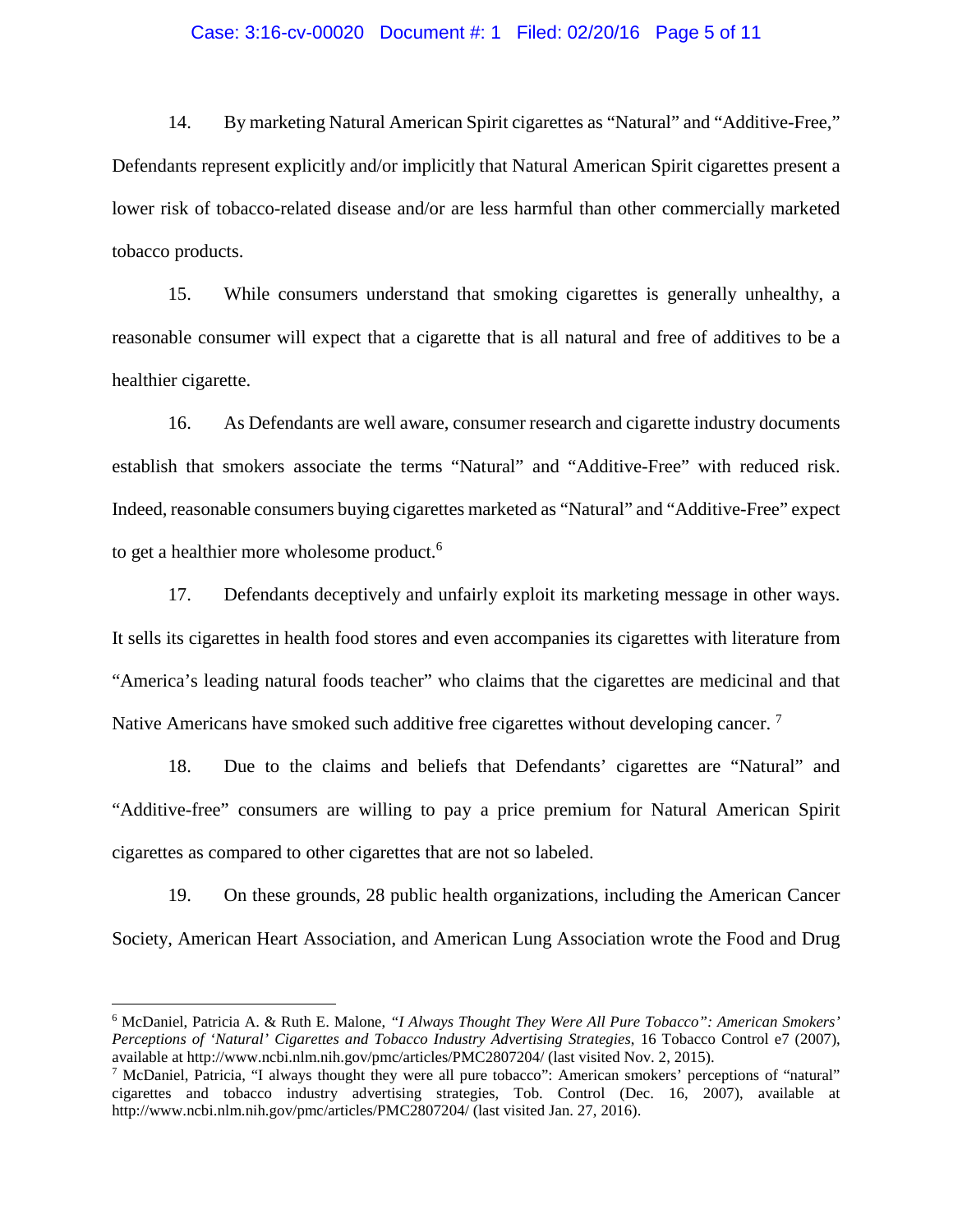#### Case: 3:16-cv-00020 Document #: 1 Filed: 02/20/16 Page 5 of 11

14. By marketing Natural American Spirit cigarettes as "Natural" and "Additive-Free," Defendants represent explicitly and/or implicitly that Natural American Spirit cigarettes present a lower risk of tobacco-related disease and/or are less harmful than other commercially marketed tobacco products.

15. While consumers understand that smoking cigarettes is generally unhealthy, a reasonable consumer will expect that a cigarette that is all natural and free of additives to be a healthier cigarette.

16. As Defendants are well aware, consumer research and cigarette industry documents establish that smokers associate the terms "Natural" and "Additive-Free" with reduced risk. Indeed, reasonable consumers buying cigarettes marketed as "Natural" and "Additive-Free" expect to get a healthier more wholesome product.<sup>6</sup>

17. Defendants deceptively and unfairly exploit its marketing message in other ways. It sells its cigarettes in health food stores and even accompanies its cigarettes with literature from "America's leading natural foods teacher" who claims that the cigarettes are medicinal and that Native Americans have smoked such additive free cigarettes without developing cancer.<sup>7</sup>

18. Due to the claims and beliefs that Defendants' cigarettes are "Natural" and "Additive-free" consumers are willing to pay a price premium for Natural American Spirit cigarettes as compared to other cigarettes that are not so labeled.

19. On these grounds, 28 public health organizations, including the American Cancer Society, American Heart Association, and American Lung Association wrote the Food and Drug

<sup>6</sup> McDaniel, Patricia A. & Ruth E. Malone, *"I Always Thought They Were All Pure Tobacco": American Smokers' Perceptions of 'Natural' Cigarettes and Tobacco Industry Advertising Strategies*, 16 Tobacco Control e7 (2007), available at http://www.ncbi.nlm.nih.gov/pmc/articles/PMC2807204/ (last visited Nov. 2, 2015).

<sup>7</sup> McDaniel, Patricia, "I always thought they were all pure tobacco": American smokers' perceptions of "natural" cigarettes and tobacco industry advertising strategies, Tob. Control (Dec. 16, 2007), available at http://www.ncbi.nlm.nih.gov/pmc/articles/PMC2807204/ (last visited Jan. 27, 2016).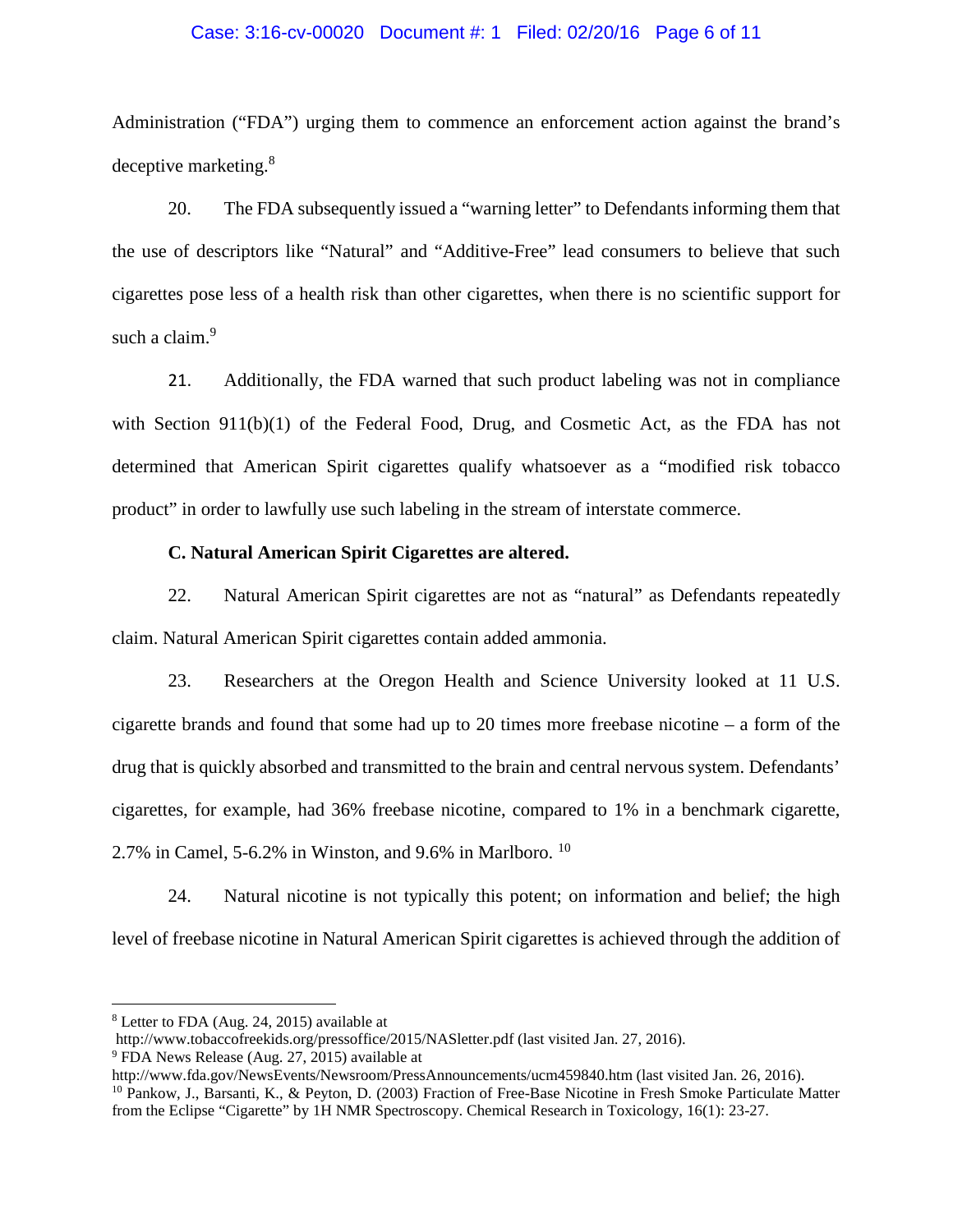#### Case: 3:16-cv-00020 Document #: 1 Filed: 02/20/16 Page 6 of 11

Administration ("FDA") urging them to commence an enforcement action against the brand's deceptive marketing.<sup>8</sup>

20. The FDA subsequently issued a "warning letter" to Defendants informing them that the use of descriptors like "Natural" and "Additive-Free" lead consumers to believe that such cigarettes pose less of a health risk than other cigarettes, when there is no scientific support for such a claim.<sup>9</sup>

21. Additionally, the FDA warned that such product labeling was not in compliance with Section 911(b)(1) of the Federal Food, Drug, and Cosmetic Act, as the FDA has not determined that American Spirit cigarettes qualify whatsoever as a "modified risk tobacco product" in order to lawfully use such labeling in the stream of interstate commerce.

#### **C. Natural American Spirit Cigarettes are altered.**

22. Natural American Spirit cigarettes are not as "natural" as Defendants repeatedly claim. Natural American Spirit cigarettes contain added ammonia.

23. Researchers at the Oregon Health and Science University looked at 11 U.S. cigarette brands and found that some had up to 20 times more freebase nicotine – a form of the drug that is quickly absorbed and transmitted to the brain and central nervous system. Defendants' cigarettes, for example, had 36% freebase nicotine, compared to 1% in a benchmark cigarette, 2.7% in Camel, 5-6.2% in Winston, and 9.6% in Marlboro.  $10$ 

24. Natural nicotine is not typically this potent; on information and belief; the high level of freebase nicotine in Natural American Spirit cigarettes is achieved through the addition of

<sup>8</sup> Letter to FDA (Aug. 24, 2015) available at

http://www.tobaccofreekids.org/pressoffice/2015/NASletter.pdf (last visited Jan. 27, 2016).

<sup>9</sup> FDA News Release (Aug. 27, 2015) available at

http://www.fda.gov/NewsEvents/Newsroom/PressAnnouncements/ucm459840.htm (last visited Jan. 26, 2016). <sup>10</sup> Pankow, J., Barsanti, K., & Peyton, D. (2003) Fraction of Free-Base Nicotine in Fresh Smoke Particulate Matter from the Eclipse "Cigarette" by 1H NMR Spectroscopy. Chemical Research in Toxicology, 16(1): 23-27.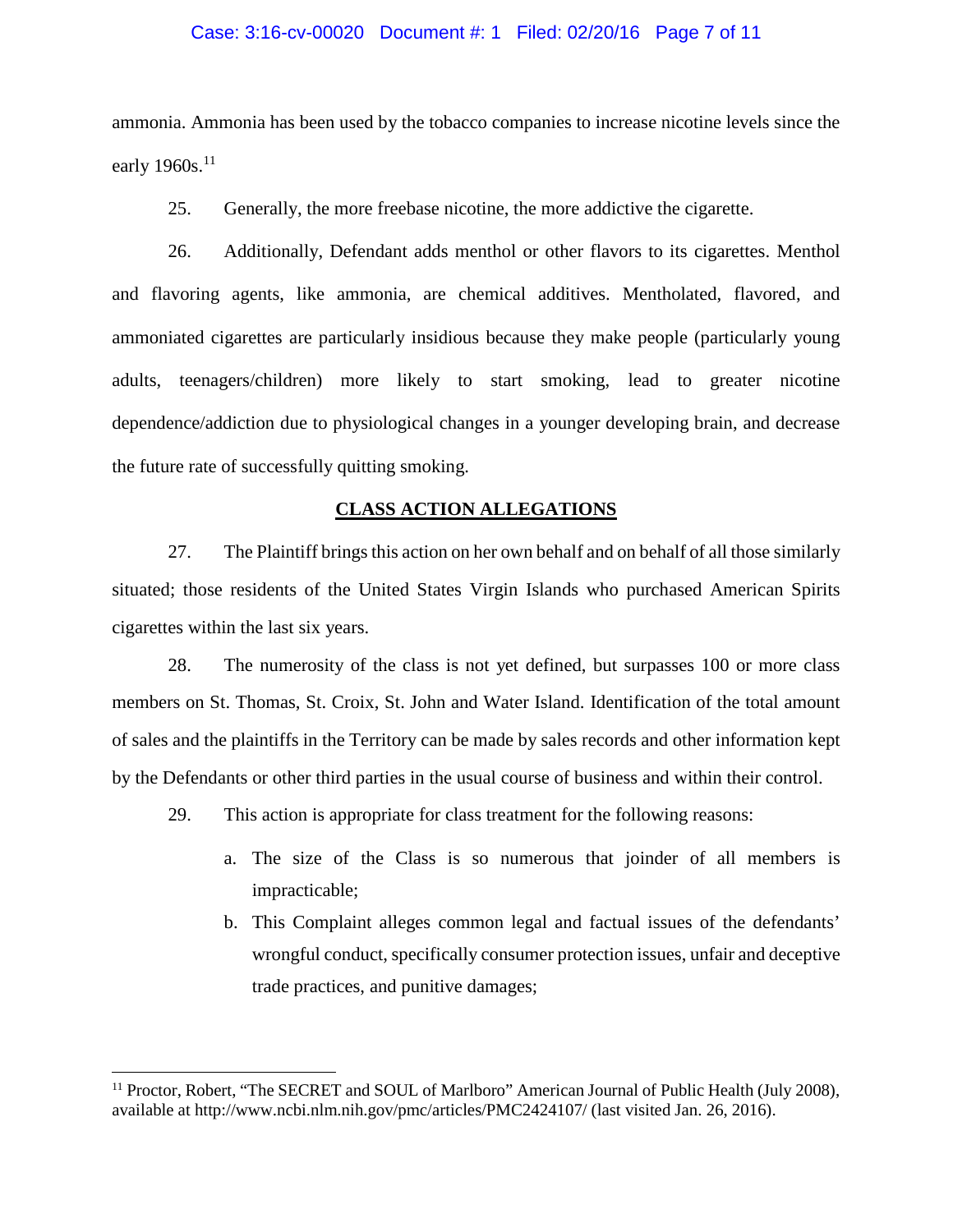#### Case: 3:16-cv-00020 Document #: 1 Filed: 02/20/16 Page 7 of 11

ammonia. Ammonia has been used by the tobacco companies to increase nicotine levels since the early  $1960s$ <sup>11</sup>

25. Generally, the more freebase nicotine, the more addictive the cigarette.

26. Additionally, Defendant adds menthol or other flavors to its cigarettes. Menthol and flavoring agents, like ammonia, are chemical additives. Mentholated, flavored, and ammoniated cigarettes are particularly insidious because they make people (particularly young adults, teenagers/children) more likely to start smoking, lead to greater nicotine dependence/addiction due to physiological changes in a younger developing brain, and decrease the future rate of successfully quitting smoking.

#### **CLASS ACTION ALLEGATIONS**

27. The Plaintiff brings this action on her own behalf and on behalf of all those similarly situated; those residents of the United States Virgin Islands who purchased American Spirits cigarettes within the last six years.

28. The numerosity of the class is not yet defined, but surpasses 100 or more class members on St. Thomas, St. Croix, St. John and Water Island. Identification of the total amount of sales and the plaintiffs in the Territory can be made by sales records and other information kept by the Defendants or other third parties in the usual course of business and within their control.

29. This action is appropriate for class treatment for the following reasons:

- a. The size of the Class is so numerous that joinder of all members is impracticable;
- b. This Complaint alleges common legal and factual issues of the defendants' wrongful conduct, specifically consumer protection issues, unfair and deceptive trade practices, and punitive damages;

<sup>&</sup>lt;sup>11</sup> Proctor, Robert, "The SECRET and SOUL of Marlboro" American Journal of Public Health (July 2008), available at http://www.ncbi.nlm.nih.gov/pmc/articles/PMC2424107/ (last visited Jan. 26, 2016).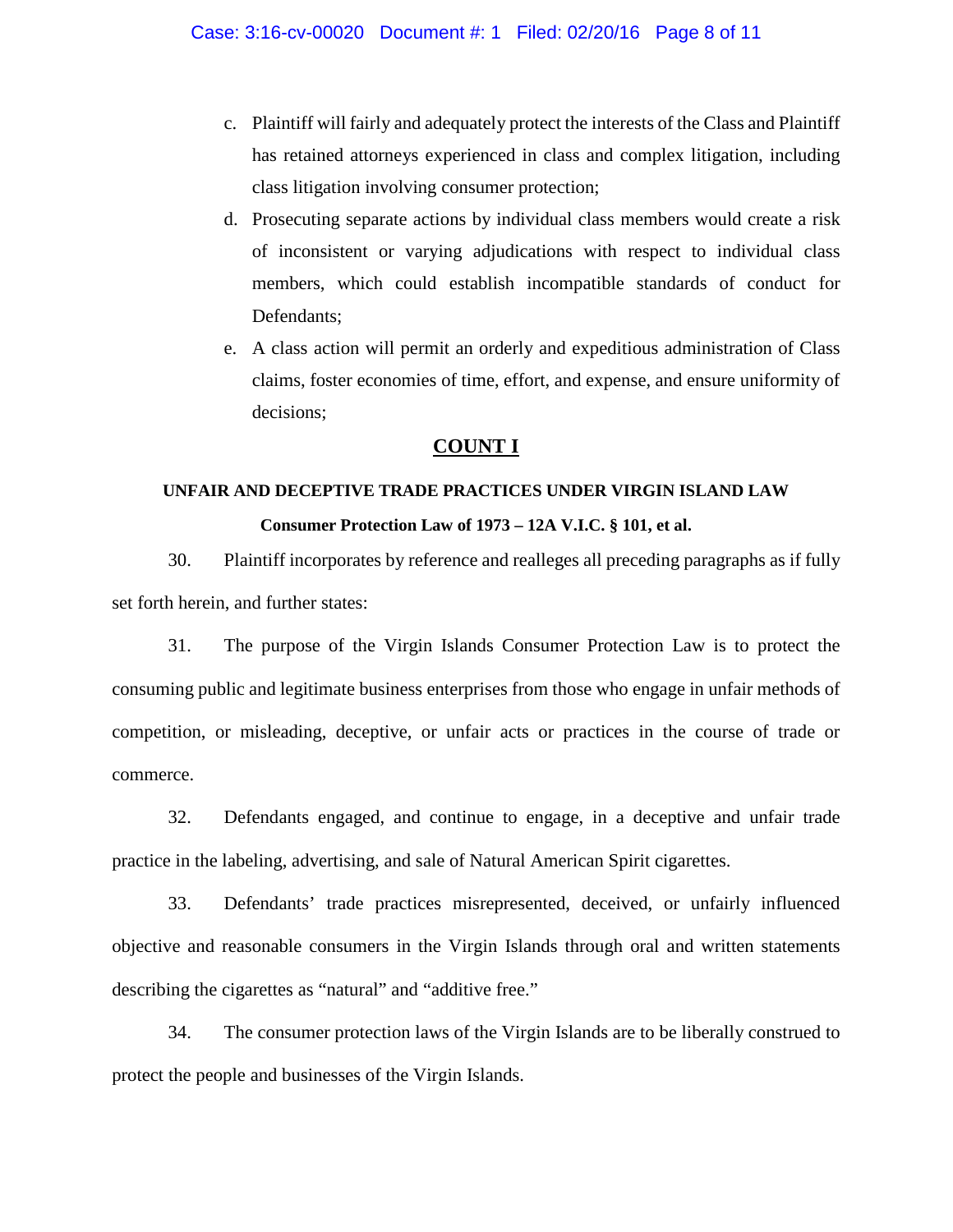- c. Plaintiff will fairly and adequately protect the interests of the Class and Plaintiff has retained attorneys experienced in class and complex litigation, including class litigation involving consumer protection;
- d. Prosecuting separate actions by individual class members would create a risk of inconsistent or varying adjudications with respect to individual class members, which could establish incompatible standards of conduct for Defendants;
- e. A class action will permit an orderly and expeditious administration of Class claims, foster economies of time, effort, and expense, and ensure uniformity of decisions;

### **COUNT I**

# **UNFAIR AND DECEPTIVE TRADE PRACTICES UNDER VIRGIN ISLAND LAW Consumer Protection Law of 1973 – 12A V.I.C. § 101, et al.**

30. Plaintiff incorporates by reference and realleges all preceding paragraphs as if fully set forth herein, and further states:

31. The purpose of the Virgin Islands Consumer Protection Law is to protect the consuming public and legitimate business enterprises from those who engage in unfair methods of competition, or misleading, deceptive, or unfair acts or practices in the course of trade or commerce.

32. Defendants engaged, and continue to engage, in a deceptive and unfair trade practice in the labeling, advertising, and sale of Natural American Spirit cigarettes.

33. Defendants' trade practices misrepresented, deceived, or unfairly influenced objective and reasonable consumers in the Virgin Islands through oral and written statements describing the cigarettes as "natural" and "additive free."

34. The consumer protection laws of the Virgin Islands are to be liberally construed to protect the people and businesses of the Virgin Islands.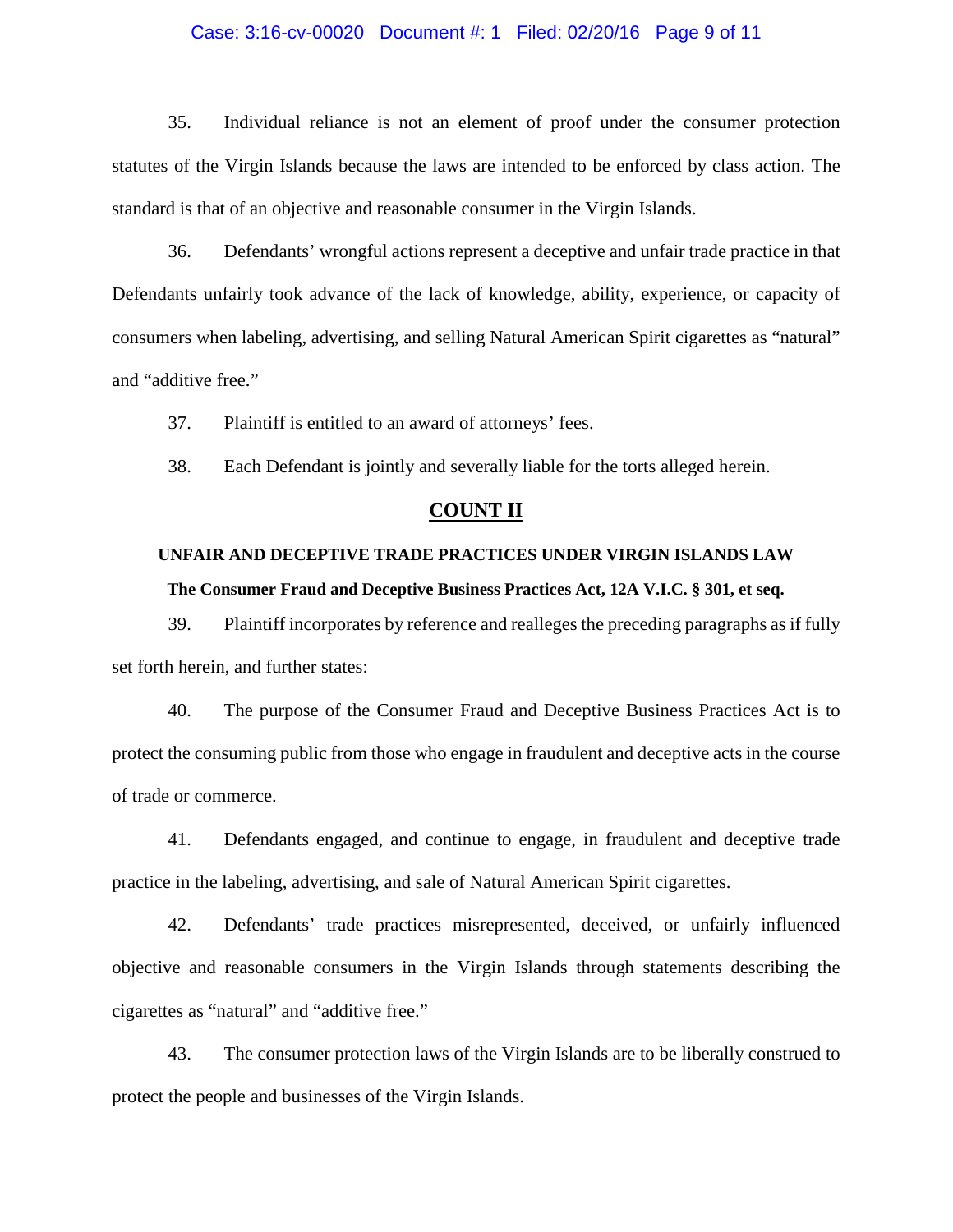#### Case: 3:16-cv-00020 Document #: 1 Filed: 02/20/16 Page 9 of 11

35. Individual reliance is not an element of proof under the consumer protection statutes of the Virgin Islands because the laws are intended to be enforced by class action. The standard is that of an objective and reasonable consumer in the Virgin Islands.

36. Defendants' wrongful actions represent a deceptive and unfair trade practice in that Defendants unfairly took advance of the lack of knowledge, ability, experience, or capacity of consumers when labeling, advertising, and selling Natural American Spirit cigarettes as "natural" and "additive free."

37. Plaintiff is entitled to an award of attorneys' fees.

38. Each Defendant is jointly and severally liable for the torts alleged herein.

#### **COUNT II**

# **UNFAIR AND DECEPTIVE TRADE PRACTICES UNDER VIRGIN ISLANDS LAW The Consumer Fraud and Deceptive Business Practices Act, 12A V.I.C. § 301, et seq.**

39. Plaintiff incorporates by reference and realleges the preceding paragraphs as if fully set forth herein, and further states:

40. The purpose of the Consumer Fraud and Deceptive Business Practices Act is to protect the consuming public from those who engage in fraudulent and deceptive acts in the course of trade or commerce.

41. Defendants engaged, and continue to engage, in fraudulent and deceptive trade practice in the labeling, advertising, and sale of Natural American Spirit cigarettes.

42. Defendants' trade practices misrepresented, deceived, or unfairly influenced objective and reasonable consumers in the Virgin Islands through statements describing the cigarettes as "natural" and "additive free."

43. The consumer protection laws of the Virgin Islands are to be liberally construed to protect the people and businesses of the Virgin Islands.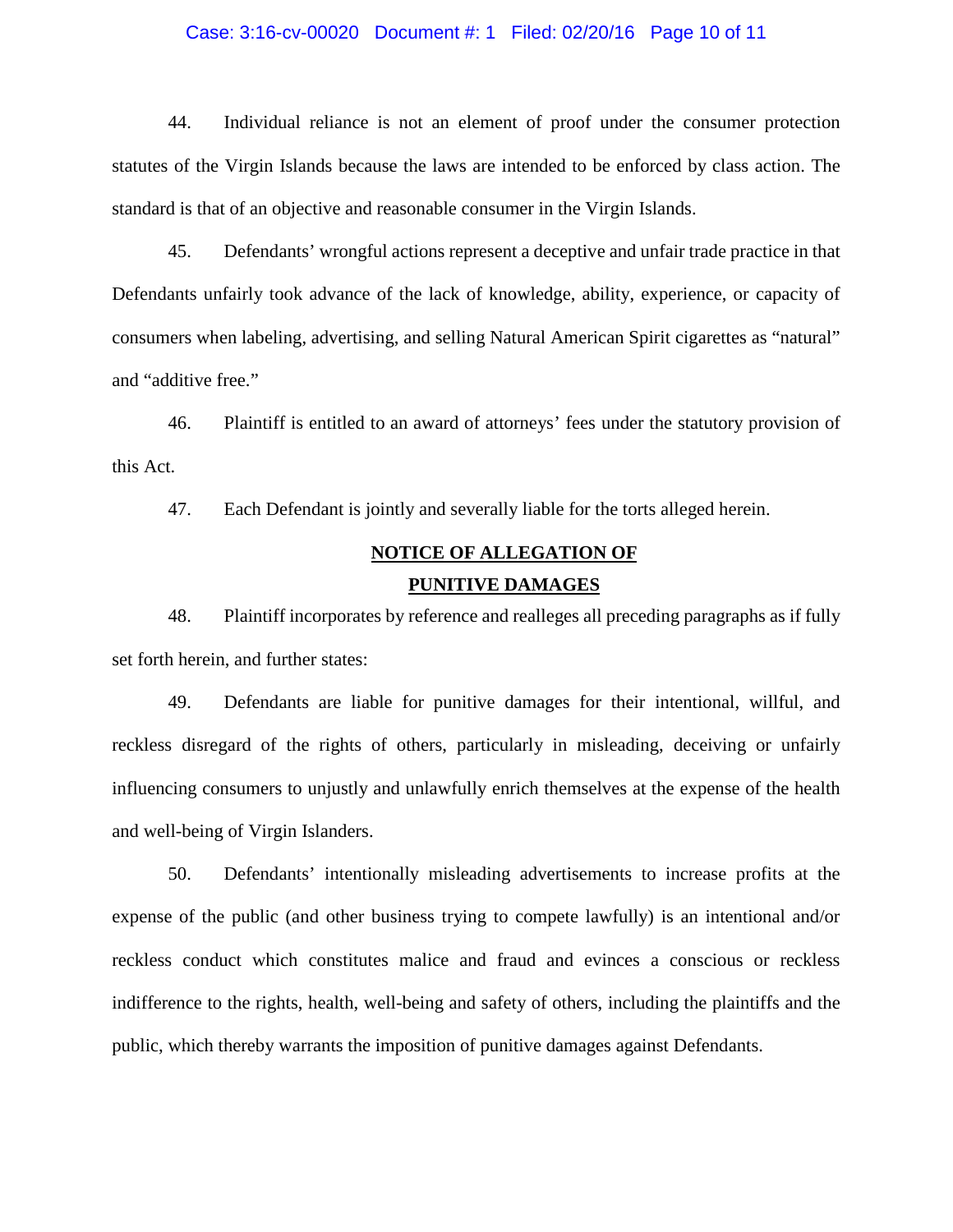#### Case: 3:16-cv-00020 Document #: 1 Filed: 02/20/16 Page 10 of 11

44. Individual reliance is not an element of proof under the consumer protection statutes of the Virgin Islands because the laws are intended to be enforced by class action. The standard is that of an objective and reasonable consumer in the Virgin Islands.

45. Defendants' wrongful actions represent a deceptive and unfair trade practice in that Defendants unfairly took advance of the lack of knowledge, ability, experience, or capacity of consumers when labeling, advertising, and selling Natural American Spirit cigarettes as "natural" and "additive free."

46. Plaintiff is entitled to an award of attorneys' fees under the statutory provision of this Act.

47. Each Defendant is jointly and severally liable for the torts alleged herein.

# **NOTICE OF ALLEGATION OF PUNITIVE DAMAGES**

48. Plaintiff incorporates by reference and realleges all preceding paragraphs as if fully set forth herein, and further states:

49. Defendants are liable for punitive damages for their intentional, willful, and reckless disregard of the rights of others, particularly in misleading, deceiving or unfairly influencing consumers to unjustly and unlawfully enrich themselves at the expense of the health and well-being of Virgin Islanders.

50. Defendants' intentionally misleading advertisements to increase profits at the expense of the public (and other business trying to compete lawfully) is an intentional and/or reckless conduct which constitutes malice and fraud and evinces a conscious or reckless indifference to the rights, health, well-being and safety of others, including the plaintiffs and the public, which thereby warrants the imposition of punitive damages against Defendants.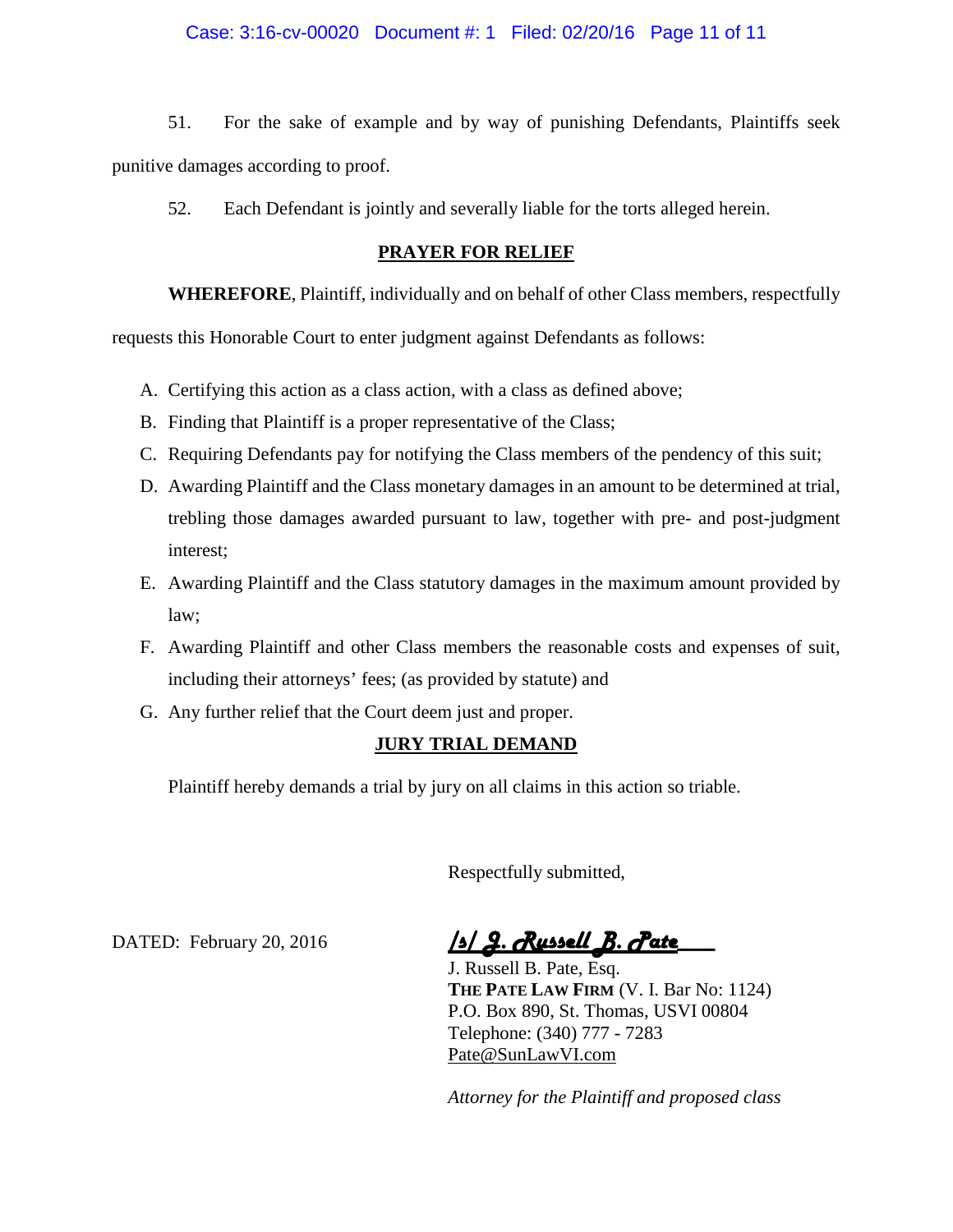#### Case: 3:16-cv-00020 Document #: 1 Filed: 02/20/16 Page 11 of 11

51. For the sake of example and by way of punishing Defendants, Plaintiffs seek punitive damages according to proof.

52. Each Defendant is jointly and severally liable for the torts alleged herein.

#### **PRAYER FOR RELIEF**

**WHEREFORE**, Plaintiff, individually and on behalf of other Class members, respectfully

requests this Honorable Court to enter judgment against Defendants as follows:

- A. Certifying this action as a class action, with a class as defined above;
- B. Finding that Plaintiff is a proper representative of the Class;
- C. Requiring Defendants pay for notifying the Class members of the pendency of this suit;
- D. Awarding Plaintiff and the Class monetary damages in an amount to be determined at trial, trebling those damages awarded pursuant to law, together with pre- and post-judgment interest;
- E. Awarding Plaintiff and the Class statutory damages in the maximum amount provided by law;
- F. Awarding Plaintiff and other Class members the reasonable costs and expenses of suit, including their attorneys' fees; (as provided by statute) and
- G. Any further relief that the Court deem just and proper.

### **JURY TRIAL DEMAND**

Plaintiff hereby demands a trial by jury on all claims in this action so triable.

Respectfully submitted,

DATED: February 20, 2016 *<u>S/ 9. Russell B</u>. Pate* 

J. Russell B. Pate, Esq. **THE PATE LAW FIRM** (V. I. Bar No: 1124) P.O. Box 890, St. Thomas, USVI 00804 Telephone: (340) 777 - 7283 Pate@SunLawVI.com

*Attorney for the Plaintiff and proposed class*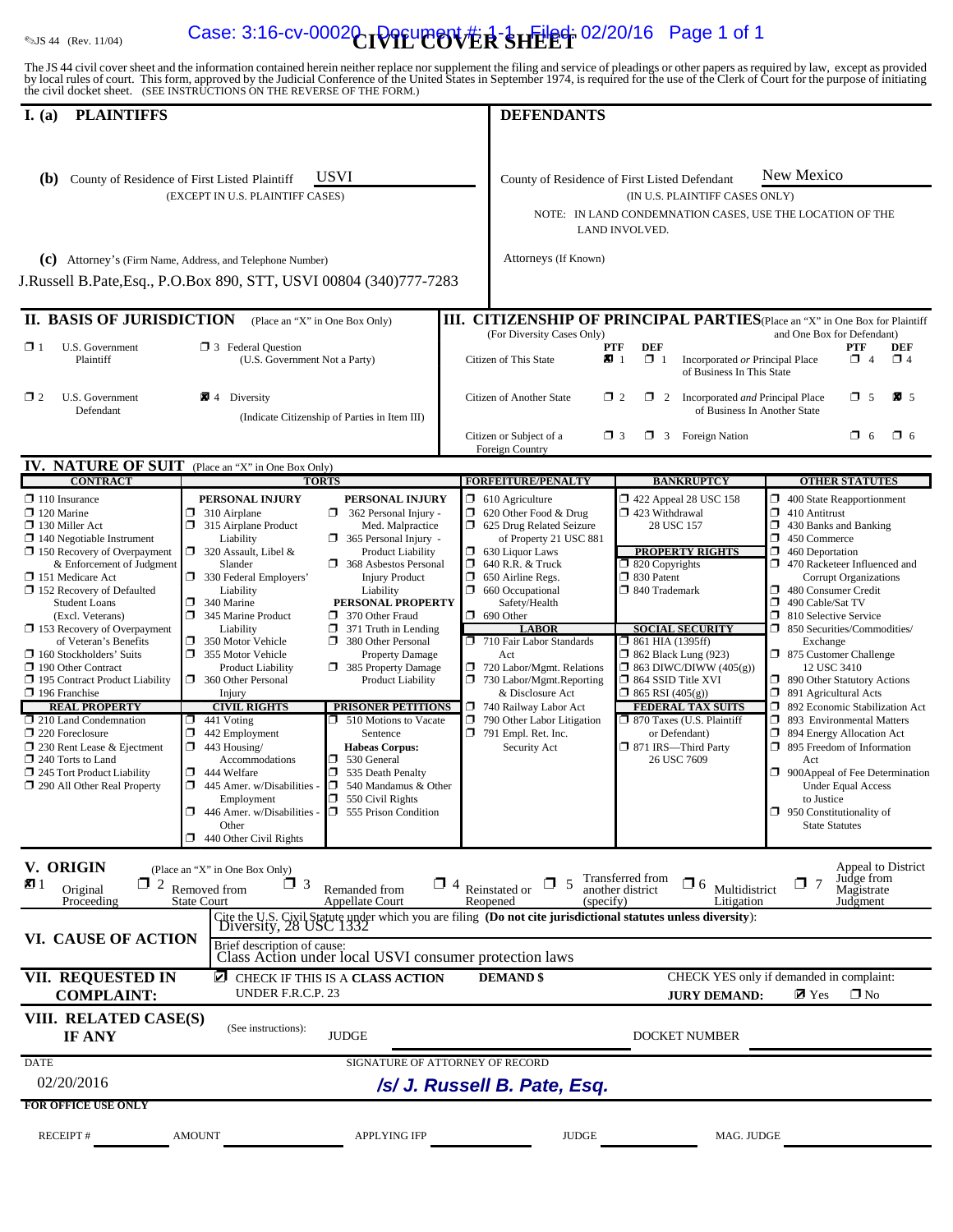# **Example 2018 44 (Rev. 11/04) Case: 3:16-cv-0002 DPIL COVER SHEET** 02/20/16 Page 1 of 1

The JS 44 civil cover sheet and the information contained herein neither replace nor supplement the filing and service of pleadings or other papers as required by law, except as provided<br>by local rules of court. This form,

| <b>PLAINTIFFS</b><br>I. $(a)$                                                                                                                                                                                                                                                                                                                                                                                                                                                                                                                                                                                                                                                           |                                                                                                                                                                                                                                                                                                                                                                                                                                                                                                                                                                                                                                                                                                                                                                                                                                                                                                                                                                                                                                                                                                                                                                                                                                                       | <b>DEFENDANTS</b>                                                                                                                                                                                                                                                                                                                                                                                                                                                                                                  |                                                                                                                                                                                                                                                                                                                                                                                                                                                                |                                                                                                                                                                                                                                                                                                                                                                                                                                                                                                                                                                                                                                                                                                                                                             |
|-----------------------------------------------------------------------------------------------------------------------------------------------------------------------------------------------------------------------------------------------------------------------------------------------------------------------------------------------------------------------------------------------------------------------------------------------------------------------------------------------------------------------------------------------------------------------------------------------------------------------------------------------------------------------------------------|-------------------------------------------------------------------------------------------------------------------------------------------------------------------------------------------------------------------------------------------------------------------------------------------------------------------------------------------------------------------------------------------------------------------------------------------------------------------------------------------------------------------------------------------------------------------------------------------------------------------------------------------------------------------------------------------------------------------------------------------------------------------------------------------------------------------------------------------------------------------------------------------------------------------------------------------------------------------------------------------------------------------------------------------------------------------------------------------------------------------------------------------------------------------------------------------------------------------------------------------------------|--------------------------------------------------------------------------------------------------------------------------------------------------------------------------------------------------------------------------------------------------------------------------------------------------------------------------------------------------------------------------------------------------------------------------------------------------------------------------------------------------------------------|----------------------------------------------------------------------------------------------------------------------------------------------------------------------------------------------------------------------------------------------------------------------------------------------------------------------------------------------------------------------------------------------------------------------------------------------------------------|-------------------------------------------------------------------------------------------------------------------------------------------------------------------------------------------------------------------------------------------------------------------------------------------------------------------------------------------------------------------------------------------------------------------------------------------------------------------------------------------------------------------------------------------------------------------------------------------------------------------------------------------------------------------------------------------------------------------------------------------------------------|
| (b)                                                                                                                                                                                                                                                                                                                                                                                                                                                                                                                                                                                                                                                                                     | <b>USVI</b><br>County of Residence of First Listed Plaintiff<br>(EXCEPT IN U.S. PLAINTIFF CASES)<br>(c) Attorney's (Firm Name, Address, and Telephone Number)<br>J.Russell B.Pate, Esq., P.O.Box 890, STT, USVI 00804 (340)777-7283                                                                                                                                                                                                                                                                                                                                                                                                                                                                                                                                                                                                                                                                                                                                                                                                                                                                                                                                                                                                                   | Attorneys (If Known)                                                                                                                                                                                                                                                                                                                                                                                                                                                                                               | County of Residence of First Listed Defendant<br>(IN U.S. PLAINTIFF CASES ONLY)<br>NOTE: IN LAND CONDEMNATION CASES, USE THE LOCATION OF THE<br>LAND INVOLVED.                                                                                                                                                                                                                                                                                                 | New Mexico                                                                                                                                                                                                                                                                                                                                                                                                                                                                                                                                                                                                                                                                                                                                                  |
| <b>II. BASIS OF JURISDICTION</b>                                                                                                                                                                                                                                                                                                                                                                                                                                                                                                                                                                                                                                                        | (Place an "X" in One Box Only)                                                                                                                                                                                                                                                                                                                                                                                                                                                                                                                                                                                                                                                                                                                                                                                                                                                                                                                                                                                                                                                                                                                                                                                                                        | <b>III. CITIZENSHIP OF PRINCIPAL PARTIES</b> (Place an "X" in One Box for Plaintiff                                                                                                                                                                                                                                                                                                                                                                                                                                |                                                                                                                                                                                                                                                                                                                                                                                                                                                                |                                                                                                                                                                                                                                                                                                                                                                                                                                                                                                                                                                                                                                                                                                                                                             |
| U.S. Government<br>$\Box$ 1<br>Plaintiff                                                                                                                                                                                                                                                                                                                                                                                                                                                                                                                                                                                                                                                | $\Box$ 3 Federal Question<br>(U.S. Government Not a Party)                                                                                                                                                                                                                                                                                                                                                                                                                                                                                                                                                                                                                                                                                                                                                                                                                                                                                                                                                                                                                                                                                                                                                                                            | (For Diversity Cases Only)<br>Citizen of This State                                                                                                                                                                                                                                                                                                                                                                                                                                                                | PTF<br><b>DEF</b><br>$\mathbf{Z}$ 1<br>$\Box$ 1<br>Incorporated or Principal Place<br>of Business In This State                                                                                                                                                                                                                                                                                                                                                | and One Box for Defendant)<br><b>PTF</b><br>DEF<br>$\Box$ 4<br>$\Box$ 4                                                                                                                                                                                                                                                                                                                                                                                                                                                                                                                                                                                                                                                                                     |
| $\Box$ 2<br>U.S. Government<br>Defendant                                                                                                                                                                                                                                                                                                                                                                                                                                                                                                                                                                                                                                                | 4 Diversity<br>(Indicate Citizenship of Parties in Item III)                                                                                                                                                                                                                                                                                                                                                                                                                                                                                                                                                                                                                                                                                                                                                                                                                                                                                                                                                                                                                                                                                                                                                                                          | Citizen of Another State                                                                                                                                                                                                                                                                                                                                                                                                                                                                                           | $\Box$ 2<br>$\Box$ 2<br>Incorporated and Principal Place<br>of Business In Another State                                                                                                                                                                                                                                                                                                                                                                       | $\square$ 5<br>$\mathbf{X}$ 5                                                                                                                                                                                                                                                                                                                                                                                                                                                                                                                                                                                                                                                                                                                               |
|                                                                                                                                                                                                                                                                                                                                                                                                                                                                                                                                                                                                                                                                                         |                                                                                                                                                                                                                                                                                                                                                                                                                                                                                                                                                                                                                                                                                                                                                                                                                                                                                                                                                                                                                                                                                                                                                                                                                                                       | Citizen or Subject of a<br>Foreign Country                                                                                                                                                                                                                                                                                                                                                                                                                                                                         | $\Box$ 3<br>$\Box$ 3 Foreign Nation                                                                                                                                                                                                                                                                                                                                                                                                                            | $\Box$ 6<br>$\Box$ 6                                                                                                                                                                                                                                                                                                                                                                                                                                                                                                                                                                                                                                                                                                                                        |
| <b>IV. NATURE OF SUIT</b> (Place an "X" in One Box Only)<br><b>CONTRACT</b>                                                                                                                                                                                                                                                                                                                                                                                                                                                                                                                                                                                                             | <b>TORTS</b>                                                                                                                                                                                                                                                                                                                                                                                                                                                                                                                                                                                                                                                                                                                                                                                                                                                                                                                                                                                                                                                                                                                                                                                                                                          | <b>FORFEITURE/PENALTY</b>                                                                                                                                                                                                                                                                                                                                                                                                                                                                                          | <b>BANKRUPTCY</b>                                                                                                                                                                                                                                                                                                                                                                                                                                              | <b>OTHER STATUTES</b>                                                                                                                                                                                                                                                                                                                                                                                                                                                                                                                                                                                                                                                                                                                                       |
| $\Box$ 110 Insurance<br>$\Box$ 120 Marine<br>$\Box$ 130 Miller Act<br>$\Box$ 140 Negotiable Instrument<br>$\Box$ 150 Recovery of Overpayment<br>& Enforcement of Judgment<br>$\Box$ 151 Medicare Act<br>152 Recovery of Defaulted<br><b>Student Loans</b><br>(Excl. Veterans)<br>$\Box$ 153 Recovery of Overpayment<br>of Veteran's Benefits<br>$\Box$ 160 Stockholders' Suits<br>190 Other Contract<br>□ 195 Contract Product Liability<br>$\Box$ 196 Franchise<br><b>REAL PROPERTY</b><br>$\Box$ 210 Land Condemnation<br>$\Box$ 220 Foreclosure<br>$\Box$ 230 Rent Lease & Ejectment<br>$\Box$ 240 Torts to Land<br>$\Box$ 245 Tort Product Liability<br>290 All Other Real Property | PERSONAL INJURY<br>PERSONAL INJURY<br>310 Airplane<br>$\Box$<br>362 Personal Injury -<br>α.<br>$\Box$ 315 Airplane Product<br>Med. Malpractice<br>Liability<br>$\Box$ 365 Personal Injury -<br>$\Box$ 320 Assault, Libel &<br><b>Product Liability</b><br>Slander<br>$\Box$ 368 Asbestos Personal<br>330 Federal Employers'<br><b>Injury Product</b><br>Liability<br>Liability<br>σ.<br>PERSONAL PROPERTY<br>340 Marine<br>Π.<br>345 Marine Product<br>$\Box$ 370 Other Fraud<br>$\Box$ 371 Truth in Lending<br>Liability<br>350 Motor Vehicle<br>380 Other Personal<br>$\Box$<br>355 Motor Vehicle<br><b>Property Damage</b><br>$\Box$ 385 Property Damage<br><b>Product Liability</b><br>360 Other Personal<br>Product Liability<br>Injury<br><b>CIVIL RIGHTS</b><br><b>PRISONER PETITIONS</b><br>$\Box$ 510 Motions to Vacate<br>□<br>441 Voting<br>σ<br>442 Employment<br>Sentence<br>$\Box$ 443 Housing/<br><b>Habeas Corpus:</b><br>Accommodations<br>530 General<br>□.<br>444 Welfare<br>Ω.<br>535 Death Penalty<br>$\Box$<br>IОI<br>445 Amer. w/Disabilities -<br>540 Mandamus & Other<br>Employment<br>$\Box$ 550 Civil Rights<br>$\Box$ 555 Prison Condition<br>$\Box$ 446 Amer. w/Disabilities -<br>Other<br>$\Box$ 440 Other Civil Rights | $\Box$ 610 Agriculture<br>$\Box$ 620 Other Food & Drug<br>5 625 Drug Related Seizure<br>of Property 21 USC 881<br>$\Box$ 630 Liquor Laws<br>$\Box$ 640 R.R. & Truck<br>$\Box$ 650 Airline Regs.<br>$\Box$ 660 Occupational<br>Safety/Health<br>$\Box$ 690 Other<br><b>LABOR</b><br>710 Fair Labor Standards<br>Act<br>720 Labor/Mgmt. Relations<br>$\Box$ 730 Labor/Mgmt.Reporting<br>& Disclosure Act<br>740 Railway Labor Act<br>$\Box$ 790 Other Labor Litigation<br>$\Box$ 791 Empl. Ret. Inc.<br>Security Act | 1422 Appeal 28 USC 158<br>$\Box$ 423 Withdrawal<br>28 USC 157<br><b>PROPERTY RIGHTS</b><br>$\Box$ 820 Copyrights<br>□ 830 Patent<br>$\Box$ 840 Trademark<br><b>SOCIAL SECURITY</b><br>$\Box$ 861 HIA (1395ff)<br>$\Box$ 862 Black Lung (923)<br>$\Box$ 863 DIWC/DIWW (405(g))<br>$\Box$ 864 SSID Title XVI<br>$\Box$ 865 RSI (405(g))<br><b>FEDERAL TAX SUITS</b><br>$\Box$ 870 Taxes (U.S. Plaintiff<br>or Defendant)<br>□ 871 IRS-Third Party<br>26 USC 7609 | $\Box$ 400 State Reapportionment<br>$\Box$ 410 Antitrust<br>430 Banks and Banking<br>ο.<br>$\Box$ 450 Commerce<br>Ω.<br>460 Deportation<br>$\Box$ 470 Racketeer Influenced and<br><b>Corrupt Organizations</b><br>σ<br>480 Consumer Credit<br>$\Box$ 490 Cable/Sat TV<br>□ 810 Selective Service<br>$\Box$ 850 Securities/Commodities/<br>Exchange<br>□ 875 Customer Challenge<br>12 USC 3410<br>□ 890 Other Statutory Actions<br>□ 891 Agricultural Acts<br>□ 892 Economic Stabilization Act<br>ο.<br>893 Environmental Matters<br>□ 894 Energy Allocation Act<br>$\Box$ 895 Freedom of Information<br>Act<br>$\Box$ 900Appeal of Fee Determination<br><b>Under Equal Access</b><br>to Justice<br>$\Box$ 950 Constitutionality of<br><b>State Statutes</b> |
| V. ORIGIN<br>81 I<br>$\Box$ 2<br>Original<br>Proceeding                                                                                                                                                                                                                                                                                                                                                                                                                                                                                                                                                                                                                                 | (Place an "X" in One Box Only)<br>$\Box$ 3<br>Removed from<br>Remanded from<br><b>State Court</b><br><b>Appellate Court</b><br>Cite the U.S. Civil Statute under which you are filing (Do not cite jurisdictional statutes unless diversity):<br>Diversity, 28 USC 1332                                                                                                                                                                                                                                                                                                                                                                                                                                                                                                                                                                                                                                                                                                                                                                                                                                                                                                                                                                               | $\Box$ 5<br>$\Box$ 4 Reinstated or<br>(specify)<br>Reopened                                                                                                                                                                                                                                                                                                                                                                                                                                                        | Transferred from<br>$\Box$ 6<br>Multidistrict<br>another district<br>Litigation                                                                                                                                                                                                                                                                                                                                                                                | Appeal to District<br>Judge from<br>$\Box$ 7<br>Magistrate<br>Judgment                                                                                                                                                                                                                                                                                                                                                                                                                                                                                                                                                                                                                                                                                      |
| VI. CAUSE OF ACTION                                                                                                                                                                                                                                                                                                                                                                                                                                                                                                                                                                                                                                                                     | Brief description of cause:<br>Class Action under local USVI consumer protection laws                                                                                                                                                                                                                                                                                                                                                                                                                                                                                                                                                                                                                                                                                                                                                                                                                                                                                                                                                                                                                                                                                                                                                                 |                                                                                                                                                                                                                                                                                                                                                                                                                                                                                                                    |                                                                                                                                                                                                                                                                                                                                                                                                                                                                |                                                                                                                                                                                                                                                                                                                                                                                                                                                                                                                                                                                                                                                                                                                                                             |
| <b>VII. REQUESTED IN</b><br><b>COMPLAINT:</b>                                                                                                                                                                                                                                                                                                                                                                                                                                                                                                                                                                                                                                           | ☑<br>CHECK IF THIS IS A CLASS ACTION<br>UNDER F.R.C.P. 23                                                                                                                                                                                                                                                                                                                                                                                                                                                                                                                                                                                                                                                                                                                                                                                                                                                                                                                                                                                                                                                                                                                                                                                             | <b>DEMAND \$</b>                                                                                                                                                                                                                                                                                                                                                                                                                                                                                                   | <b>JURY DEMAND:</b>                                                                                                                                                                                                                                                                                                                                                                                                                                            | CHECK YES only if demanded in complaint:<br>$\square$ No<br>$\blacksquare$ Yes                                                                                                                                                                                                                                                                                                                                                                                                                                                                                                                                                                                                                                                                              |
| VIII. RELATED CASE(S)<br><b>IF ANY</b>                                                                                                                                                                                                                                                                                                                                                                                                                                                                                                                                                                                                                                                  | (See instructions):<br><b>JUDGE</b>                                                                                                                                                                                                                                                                                                                                                                                                                                                                                                                                                                                                                                                                                                                                                                                                                                                                                                                                                                                                                                                                                                                                                                                                                   |                                                                                                                                                                                                                                                                                                                                                                                                                                                                                                                    | DOCKET NUMBER                                                                                                                                                                                                                                                                                                                                                                                                                                                  |                                                                                                                                                                                                                                                                                                                                                                                                                                                                                                                                                                                                                                                                                                                                                             |
| <b>DATE</b><br>02/20/2016                                                                                                                                                                                                                                                                                                                                                                                                                                                                                                                                                                                                                                                               |                                                                                                                                                                                                                                                                                                                                                                                                                                                                                                                                                                                                                                                                                                                                                                                                                                                                                                                                                                                                                                                                                                                                                                                                                                                       | SIGNATURE OF ATTORNEY OF RECORD<br>/s/ J. Russell B. Pate, Esq.                                                                                                                                                                                                                                                                                                                                                                                                                                                    |                                                                                                                                                                                                                                                                                                                                                                                                                                                                |                                                                                                                                                                                                                                                                                                                                                                                                                                                                                                                                                                                                                                                                                                                                                             |
| <b>FOR OFFICE USE ONLY</b>                                                                                                                                                                                                                                                                                                                                                                                                                                                                                                                                                                                                                                                              |                                                                                                                                                                                                                                                                                                                                                                                                                                                                                                                                                                                                                                                                                                                                                                                                                                                                                                                                                                                                                                                                                                                                                                                                                                                       |                                                                                                                                                                                                                                                                                                                                                                                                                                                                                                                    |                                                                                                                                                                                                                                                                                                                                                                                                                                                                |                                                                                                                                                                                                                                                                                                                                                                                                                                                                                                                                                                                                                                                                                                                                                             |
| RECEIPT#                                                                                                                                                                                                                                                                                                                                                                                                                                                                                                                                                                                                                                                                                | <b>APPLYING IFP</b><br><b>AMOUNT</b>                                                                                                                                                                                                                                                                                                                                                                                                                                                                                                                                                                                                                                                                                                                                                                                                                                                                                                                                                                                                                                                                                                                                                                                                                  | <b>JUDGE</b>                                                                                                                                                                                                                                                                                                                                                                                                                                                                                                       | MAG. JUDGE                                                                                                                                                                                                                                                                                                                                                                                                                                                     |                                                                                                                                                                                                                                                                                                                                                                                                                                                                                                                                                                                                                                                                                                                                                             |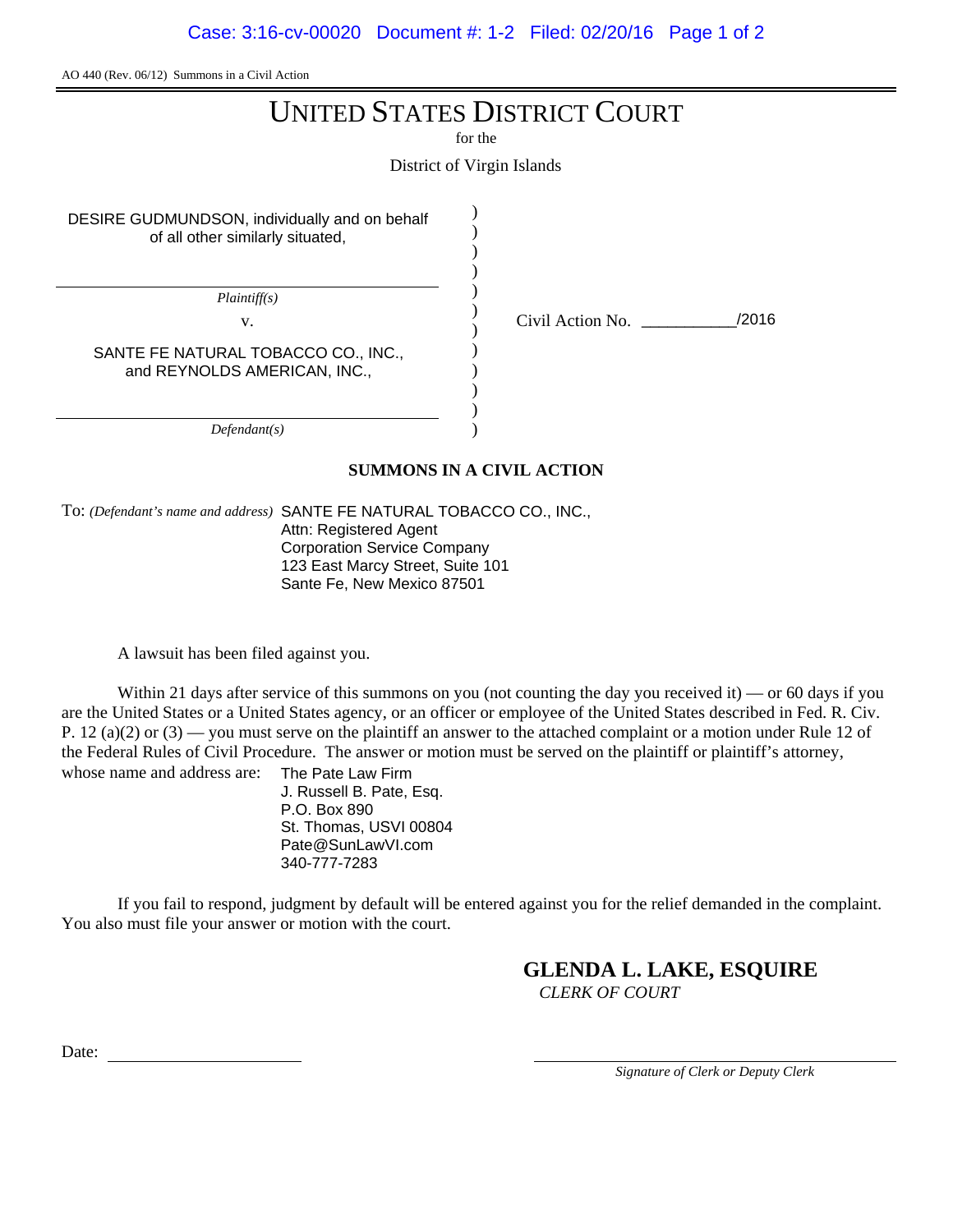# UNITED STATES DISTRICT COURT

for the

District of Virgin Islands

) ) ) ) ) ) ) ) ) ) ) )

DESIRE GUDMUNDSON, individually and on behalf of all other similarly situated,

*Plaintiff(s)*

v. Civil Action No. \_\_\_\_\_\_\_\_\_\_\_/2016

SANTE FE NATURAL TOBACCO CO., INC., and REYNOLDS AMERICAN, INC.,

*Defendant(s)*

#### **SUMMONS IN A CIVIL ACTION**

To: *(Defendant's name and address)* SANTE FE NATURAL TOBACCO CO., INC., Attn: Registered Agent Corporation Service Company 123 East Marcy Street, Suite 101 Sante Fe, New Mexico 87501

A lawsuit has been filed against you.

Within 21 days after service of this summons on you (not counting the day you received it) — or 60 days if you are the United States or a United States agency, or an officer or employee of the United States described in Fed. R. Civ. P. 12 (a)(2) or  $(3)$  — you must serve on the plaintiff an answer to the attached complaint or a motion under Rule 12 of the Federal Rules of Civil Procedure. The answer or motion must be served on the plaintiff or plaintiff's attorney, whose name and address are: The Pate Law Firm

J. Russell B. Pate, Esq. P.O. Box 890 St. Thomas, USVI 00804 Pate@SunLawVI.com 340-777-7283

If you fail to respond, judgment by default will be entered against you for the relief demanded in the complaint. You also must file your answer or motion with the court.

# **GLENDA L. LAKE, ESQUIRE**

*CLERK OF COURT*

Date: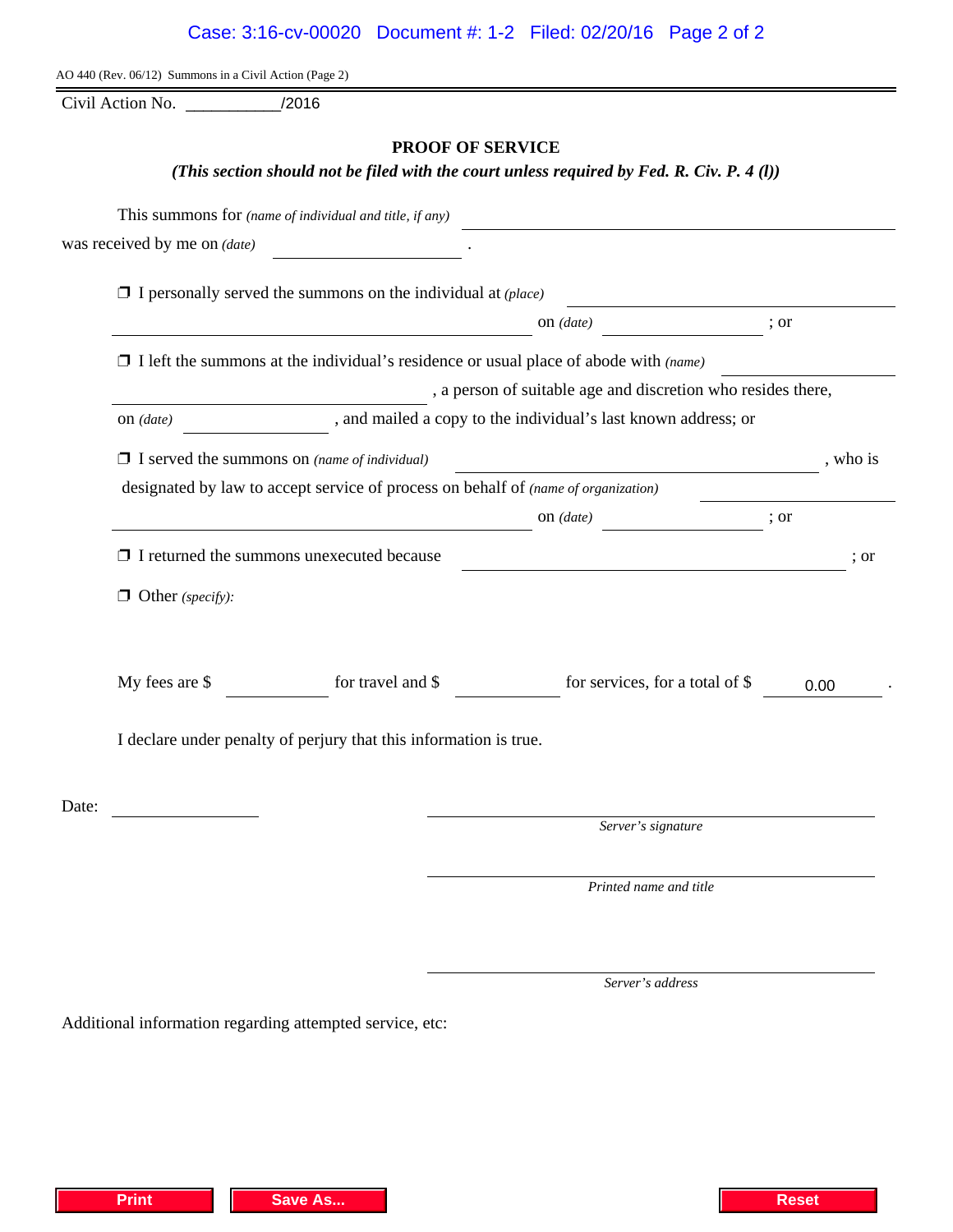| Additional information regarding attempted service, etc: |  |  |  |
|----------------------------------------------------------|--|--|--|

| Case: 3:16-cv-00020 Document #: 1-2 Filed: 02/20/16 Page 2 of 2 |  |  |
|-----------------------------------------------------------------|--|--|
|                                                                 |  |  |

Civil Action No.  $/2016$ 

### **PROOF OF SERVICE**

*(This section should not be filed with the court unless required by Fed. R. Civ. P. 4 (l))*

|                         | This summons for (name of individual and title, if any)                                                              |                                                                                                                      |          |
|-------------------------|----------------------------------------------------------------------------------------------------------------------|----------------------------------------------------------------------------------------------------------------------|----------|
|                         | was received by me on $(date)$                                                                                       |                                                                                                                      |          |
|                         | $\Box$ I personally served the summons on the individual at (place)                                                  |                                                                                                                      |          |
|                         |                                                                                                                      | on (date)                                                                                                            | ; or     |
|                         | $\Box$ I left the summons at the individual's residence or usual place of abode with (name)                          |                                                                                                                      |          |
|                         | $\overline{\phantom{a}}$                                                                                             | , a person of suitable age and discretion who resides there,                                                         |          |
|                         |                                                                                                                      |                                                                                                                      |          |
|                         | $\Box$ I served the summons on (name of individual)                                                                  | <u> Alexandria de la contrada de la contrada de la contrada de la contrada de la contrada de la contrada de la c</u> | , who is |
|                         | designated by law to accept service of process on behalf of (name of organization)                                   |                                                                                                                      |          |
|                         | <u> 1980 - Johann Barbara, martin da basar a shekara 1980 - An tsa a tsara 1980 - An tsa a tsara 1980 - An tsa a</u> | on $(data)$<br>$\overline{\qquad \qquad }$ ; or                                                                      |          |
|                         | $\Box$ I returned the summons unexecuted because                                                                     | <u> 1980 - Johann Barn, mars an t-Amerikaansk politiker (</u>                                                        | ; or     |
| $\Box$ Other (specify): |                                                                                                                      |                                                                                                                      |          |
| My fees are \$          | for travel and \$                                                                                                    | for services, for a total of \$                                                                                      | 0.00     |
|                         | I declare under penalty of perjury that this information is true.                                                    |                                                                                                                      |          |
| Date:                   |                                                                                                                      |                                                                                                                      |          |
|                         |                                                                                                                      | Server's signature                                                                                                   |          |
|                         |                                                                                                                      | Printed name and title                                                                                               |          |
|                         |                                                                                                                      |                                                                                                                      |          |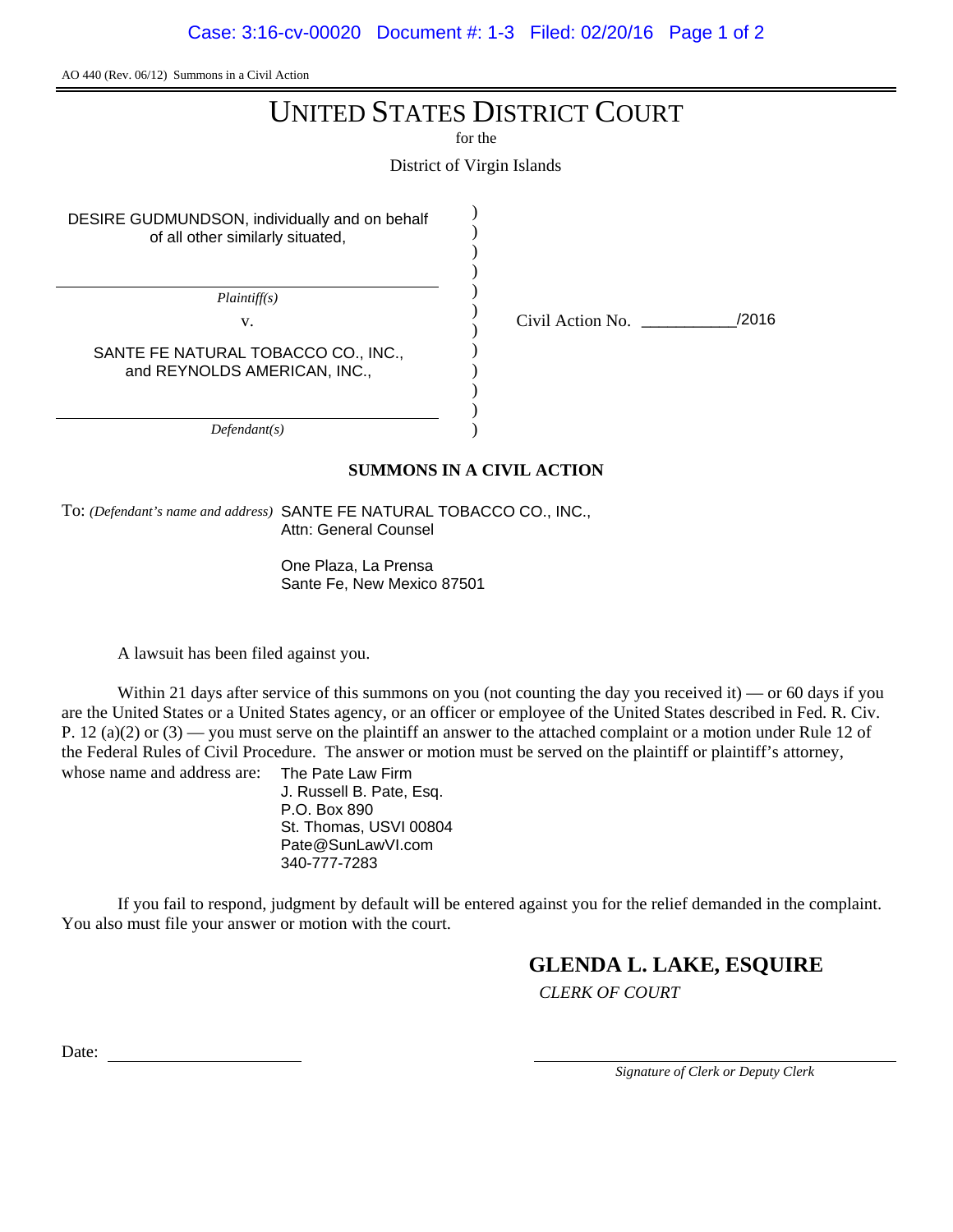# UNITED STATES DISTRICT COURT

for the

District of Virgin Islands

) ) ) ) ) ) ) ) ) ) ) )

DESIRE GUDMUNDSON, individually and on behalf of all other similarly situated,

*Plaintiff(s)*

v. Civil Action No. \_\_\_\_\_\_\_\_\_\_\_/2016

SANTE FE NATURAL TOBACCO CO., INC., and REYNOLDS AMERICAN, INC.,

*Defendant(s)*

#### **SUMMONS IN A CIVIL ACTION**

To: *(Defendant's name and address)* SANTE FE NATURAL TOBACCO CO., INC., Attn: General Counsel

> One Plaza, La Prensa Sante Fe, New Mexico 87501

A lawsuit has been filed against you.

Within 21 days after service of this summons on you (not counting the day you received it) — or 60 days if you are the United States or a United States agency, or an officer or employee of the United States described in Fed. R. Civ. P. 12 (a)(2) or  $(3)$  — you must serve on the plaintiff an answer to the attached complaint or a motion under Rule 12 of the Federal Rules of Civil Procedure. The answer or motion must be served on the plaintiff or plaintiff's attorney, whose name and address are: The Pate Law Firm

J. Russell B. Pate, Esq. P.O. Box 890 St. Thomas, USVI 00804 Pate@SunLawVI.com 340-777-7283

If you fail to respond, judgment by default will be entered against you for the relief demanded in the complaint. You also must file your answer or motion with the court.

# **GLENDA L. LAKE, ESQUIRE**

*CLERK OF COURT*

Date: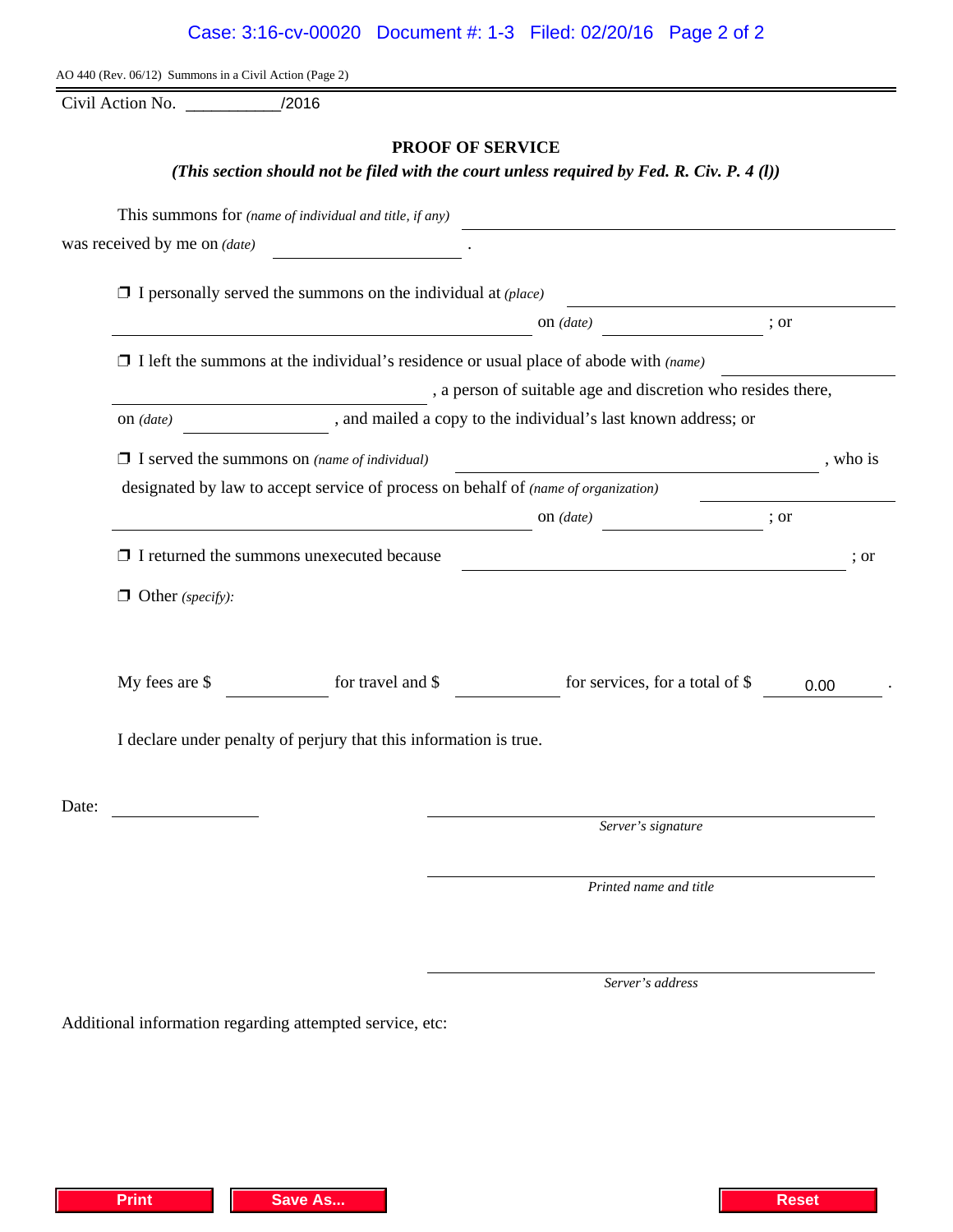Additional information regarding attempted service, etc:

|                           | Case: 3:16-cv-00020 Document #: 1-3 Filed: 02/20/16 Page 2 of 2                            |                         |  |
|---------------------------|--------------------------------------------------------------------------------------------|-------------------------|--|
|                           | AO 440 (Rev. 06/12) Summons in a Civil Action (Page 2)                                     |                         |  |
| Civil Action No. $\qquad$ | /2016                                                                                      |                         |  |
|                           | (This section should not be filed with the court unless required by Fed. R. Civ. P. 4 (l)) | <b>PROOF OF SERVICE</b> |  |
|                           |                                                                                            |                         |  |

|       |                         | was received by me on $(date)$                                                              |                                                                |          |      |
|-------|-------------------------|---------------------------------------------------------------------------------------------|----------------------------------------------------------------|----------|------|
|       |                         | $\Box$ I personally served the summons on the individual at (place)                         |                                                                |          |      |
|       |                         |                                                                                             | on $(data)$                                                    | ; or     |      |
|       |                         | $\Box$ I left the summons at the individual's residence or usual place of abode with (name) |                                                                |          |      |
|       |                         |                                                                                             | , a person of suitable age and discretion who resides there,   |          |      |
|       | on $(data)$             |                                                                                             | , and mailed a copy to the individual's last known address; or |          |      |
|       |                         | $\Box$ I served the summons on (name of individual)                                         |                                                                | , who is |      |
|       |                         | designated by law to accept service of process on behalf of (name of organization)          |                                                                |          |      |
|       |                         |                                                                                             | $on$ (date)                                                    | ; or     |      |
|       |                         | $\Box$ I returned the summons unexecuted because                                            |                                                                |          | ; or |
|       | $\Box$ Other (specify): |                                                                                             |                                                                |          |      |
|       | My fees are \$          | for travel and \$                                                                           | for services, for a total of \$                                | 0.00     |      |
|       |                         | I declare under penalty of perjury that this information is true.                           |                                                                |          |      |
| Date: |                         |                                                                                             |                                                                |          |      |
|       |                         |                                                                                             | Server's signature                                             |          |      |
|       |                         |                                                                                             | Printed name and title                                         |          |      |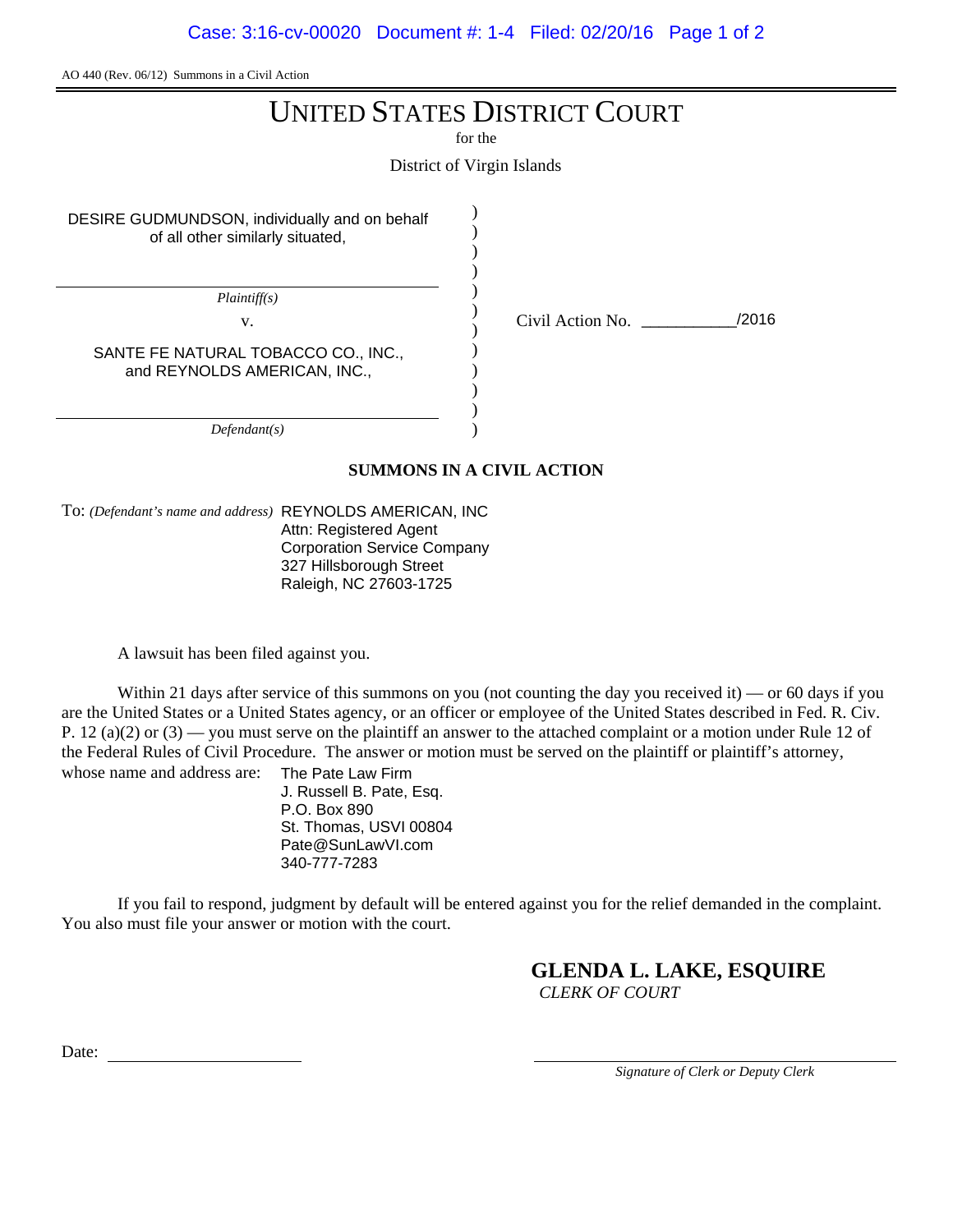# UNITED STATES DISTRICT COURT

for the

District of Virgin Islands

) ) ) ) ) ) ) ) ) ) ) )

DESIRE GUDMUNDSON, individually and on behalf of all other similarly situated,

*Plaintiff(s)*

v. Civil Action No. \_\_\_\_\_\_\_\_\_\_\_/2016

SANTE FE NATURAL TOBACCO CO., INC., and REYNOLDS AMERICAN, INC.,

*Defendant(s)*

#### **SUMMONS IN A CIVIL ACTION**

To: *(Defendant's name and address)* REYNOLDS AMERICAN, INC Attn: Registered Agent Corporation Service Company

327 Hillsborough Street Raleigh, NC 27603-1725

A lawsuit has been filed against you.

Within 21 days after service of this summons on you (not counting the day you received it) — or 60 days if you are the United States or a United States agency, or an officer or employee of the United States described in Fed. R. Civ. P. 12 (a)(2) or  $(3)$  — you must serve on the plaintiff an answer to the attached complaint or a motion under Rule 12 of the Federal Rules of Civil Procedure. The answer or motion must be served on the plaintiff or plaintiff's attorney, whose name and address are: The Pate Law Firm

J. Russell B. Pate, Esq. P.O. Box 890 St. Thomas, USVI 00804 Pate@SunLawVI.com 340-777-7283

If you fail to respond, judgment by default will be entered against you for the relief demanded in the complaint. You also must file your answer or motion with the court.

## **GLENDA L. LAKE, ESQUIRE**

*CLERK OF COURT*

Date: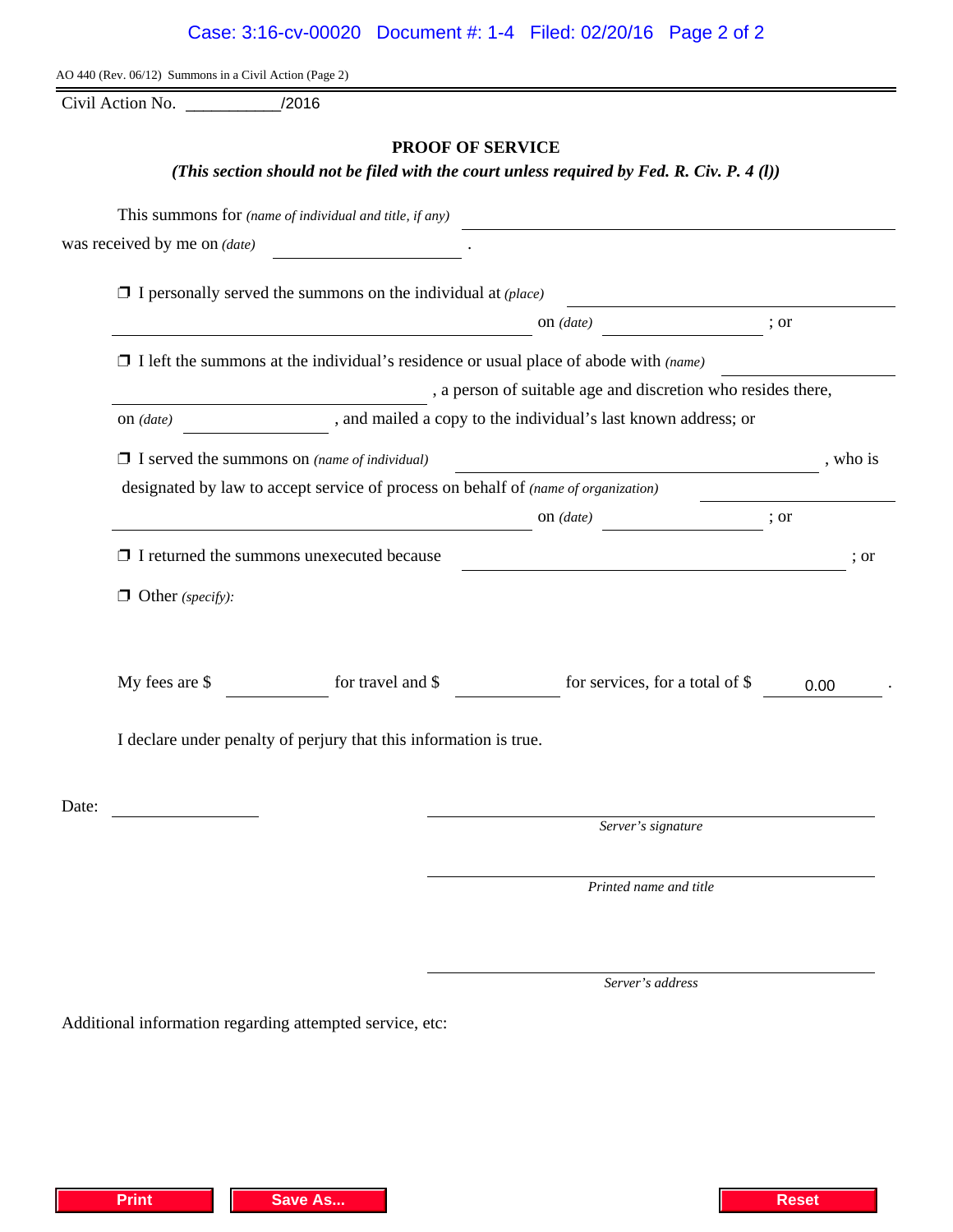Additional information regarding attempted service, etc:

| Case: 3:16-cv-00020  Document #: 1-4  Filed: 02/20/16  Page 2 of 2 |  |  |
|--------------------------------------------------------------------|--|--|
|                                                                    |  |  |

AO 440 (Rev. 06/12) Summons in a Civil Action (Page 2)

Civil Action No. \_\_\_\_\_\_\_\_\_\_\_/2016

### **PROOF OF SERVICE**

*(This section should not be filed with the court unless required by Fed. R. Civ. P. 4 (l))*

| was received by me on (date) |                                                                                             |                                                                |          |
|------------------------------|---------------------------------------------------------------------------------------------|----------------------------------------------------------------|----------|
|                              | $\Box$ I personally served the summons on the individual at (place)                         |                                                                |          |
|                              |                                                                                             | on $(data)$                                                    | ; or     |
|                              | $\Box$ I left the summons at the individual's residence or usual place of abode with (name) |                                                                |          |
|                              |                                                                                             | , a person of suitable age and discretion who resides there,   |          |
| $on$ (date)                  |                                                                                             | , and mailed a copy to the individual's last known address; or |          |
|                              | $\Box$ I served the summons on (name of individual)                                         |                                                                | , who is |
|                              | designated by law to accept service of process on behalf of (name of organization)          |                                                                |          |
|                              |                                                                                             | on $(data)$<br>$\frac{1}{2}$ or                                |          |
|                              | $\Box$ I returned the summons unexecuted because                                            |                                                                | : or     |
| $\Box$ Other (specify):      |                                                                                             |                                                                |          |
| My fees are \$               | for travel and \$                                                                           | for services, for a total of \$                                | 0.00     |
|                              | I declare under penalty of perjury that this information is true.                           |                                                                |          |
| Date:                        |                                                                                             |                                                                |          |
|                              |                                                                                             | Server's signature                                             |          |
|                              |                                                                                             | Printed name and title                                         |          |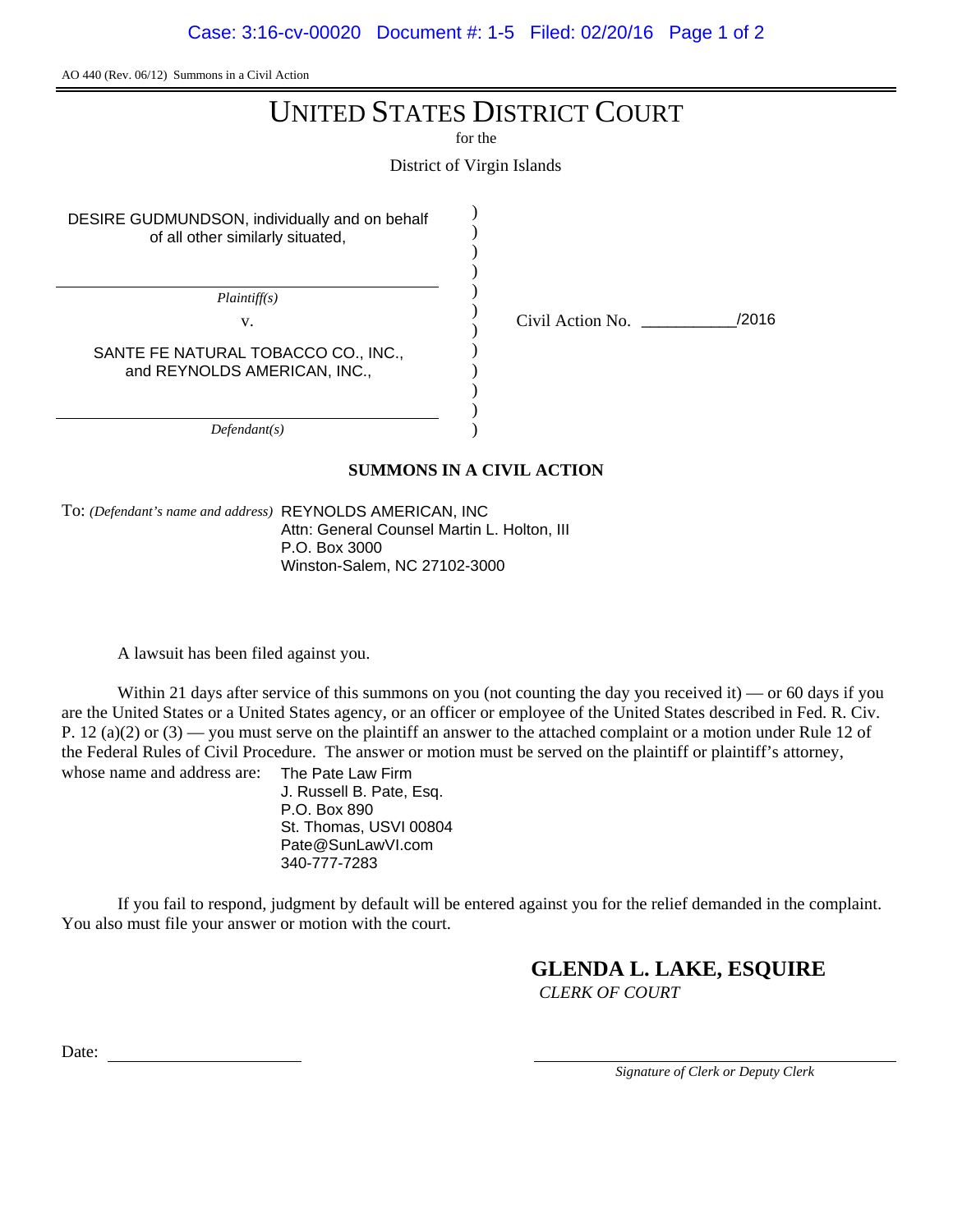# UNITED STATES DISTRICT COURT

for the

District of Virgin Islands

) ) ) ) ) ) ) ) ) ) ) )

DESIRE GUDMUNDSON, individually and on behalf of all other similarly situated,

*Plaintiff(s)*

v. Civil Action No. \_\_\_\_\_\_\_\_\_\_\_/2016

SANTE FE NATURAL TOBACCO CO., INC., and REYNOLDS AMERICAN, INC.,

*Defendant(s)*

#### **SUMMONS IN A CIVIL ACTION**

To: *(Defendant's name and address)* REYNOLDS AMERICAN, INC Attn: General Counsel Martin L. Holton, III P.O. Box 3000 Winston-Salem, NC 27102-3000

A lawsuit has been filed against you.

Within 21 days after service of this summons on you (not counting the day you received it) — or 60 days if you are the United States or a United States agency, or an officer or employee of the United States described in Fed. R. Civ. P. 12 (a)(2) or  $(3)$  — you must serve on the plaintiff an answer to the attached complaint or a motion under Rule 12 of the Federal Rules of Civil Procedure. The answer or motion must be served on the plaintiff or plaintiff's attorney, whose name and address are: The Pate Law Firm

J. Russell B. Pate, Esq. P.O. Box 890 St. Thomas, USVI 00804 Pate@SunLawVI.com 340-777-7283

If you fail to respond, judgment by default will be entered against you for the relief demanded in the complaint. You also must file your answer or motion with the court.

## **GLENDA L. LAKE, ESQUIRE**

*CLERK OF COURT*

Date: